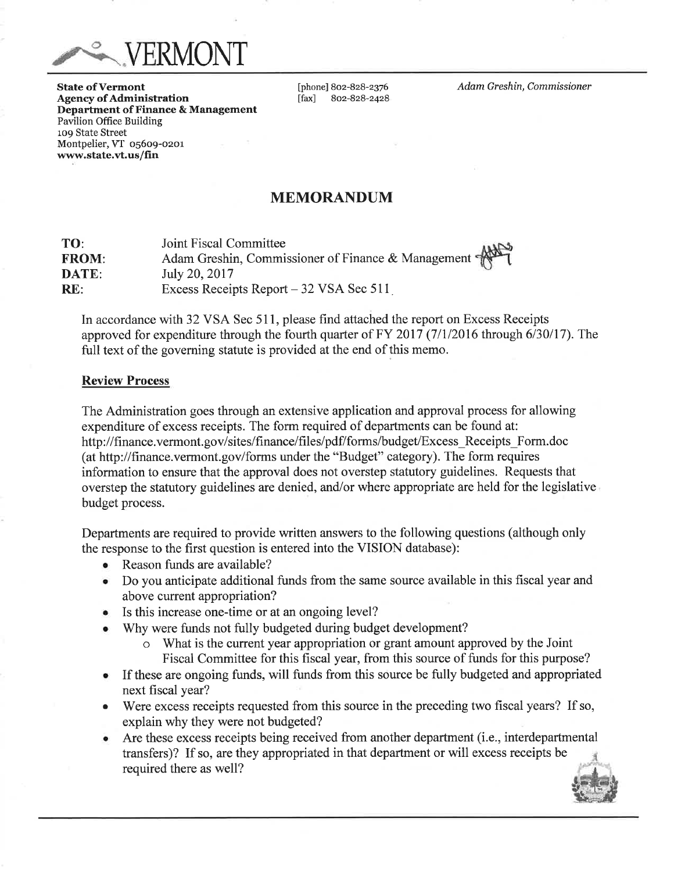VERMONT

**State of Vermont Agency of Administration** Department of Finance & Management Pavilion Office Building 109 State Street Montpelier, VT 05609-0201 www.state.vt.us/fin

[phone] 802-828-2376  $\lceil$ fax $\rceil$ 802-828-2428 Adam Greshin, Commissioner

# **MEMORANDUM**

**Joint Fiscal Committee** TO: Adam Greshin, Commissioner of Finance & Management **FROM:** DATE: July 20, 2017 Excess Receipts Report - 32 VSA Sec 511  $RE:$ 

In accordance with 32 VSA Sec 511, please find attached the report on Excess Receipts approved for expenditure through the fourth quarter of FY 2017  $(7/1/2016$  through 6/30/17). The full text of the governing statute is provided at the end of this memo.

### **Review Process**

The Administration goes through an extensive application and approval process for allowing expenditure of excess receipts. The form required of departments can be found at: http://finance.vermont.gov/sites/finance/files/pdf/forms/budget/Excess Receipts Form.doc (at http://finance.vermont.gov/forms under the "Budget" category). The form requires information to ensure that the approval does not overstep statutory guidelines. Requests that overstep the statutory guidelines are denied, and/or where appropriate are held for the legislative budget process.

Departments are required to provide written answers to the following questions (although only the response to the first question is entered into the VISION database):

- Reason funds are available?
- Do you anticipate additional funds from the same source available in this fiscal year and above current appropriation?
- Is this increase one-time or at an ongoing level?
- Why were funds not fully budgeted during budget development?
	- What is the current year appropriation or grant amount approved by the Joint Fiscal Committee for this fiscal year, from this source of funds for this purpose?
- If these are ongoing funds, will funds from this source be fully budgeted and appropriated  $\bullet$ next fiscal year?
- Were excess receipts requested from this source in the preceding two fiscal years? If so,  $\bullet$ explain why they were not budgeted?
- Are these excess receipts being received from another department (i.e., interdepartmental transfers)? If so, are they appropriated in that department or will excess receipts be required there as well?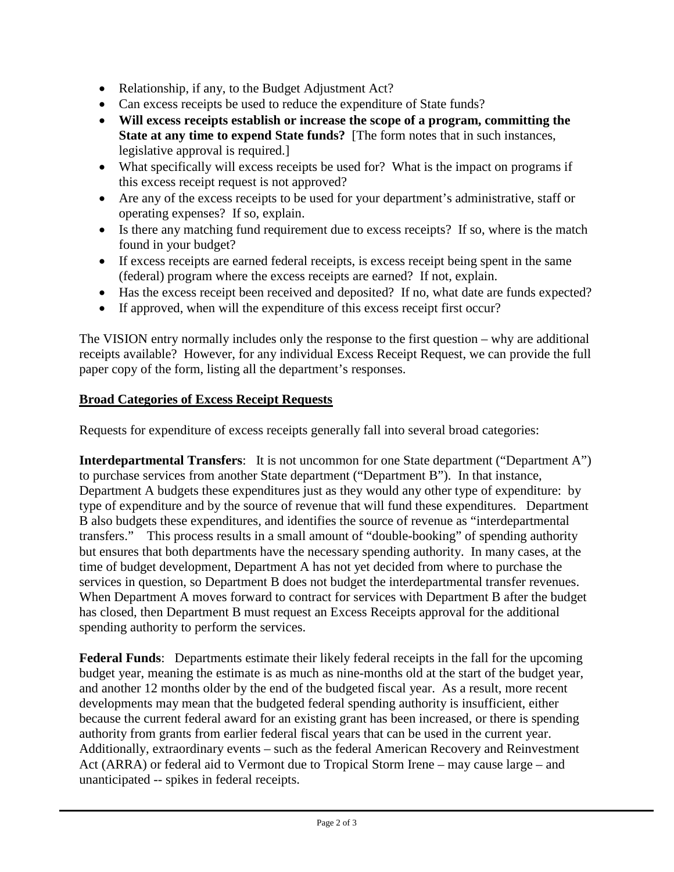- Relationship, if any, to the Budget Adjustment Act?
- Can excess receipts be used to reduce the expenditure of State funds?
- **Will excess receipts establish or increase the scope of a program, committing the State at any time to expend State funds?** [The form notes that in such instances, legislative approval is required.]
- What specifically will excess receipts be used for? What is the impact on programs if this excess receipt request is not approved?
- Are any of the excess receipts to be used for your department's administrative, staff or operating expenses? If so, explain.
- Is there any matching fund requirement due to excess receipts? If so, where is the match found in your budget?
- If excess receipts are earned federal receipts, is excess receipt being spent in the same (federal) program where the excess receipts are earned? If not, explain.
- Has the excess receipt been received and deposited? If no, what date are funds expected?
- If approved, when will the expenditure of this excess receipt first occur?

The VISION entry normally includes only the response to the first question – why are additional receipts available? However, for any individual Excess Receipt Request, we can provide the full paper copy of the form, listing all the department's responses.

# **Broad Categories of Excess Receipt Requests**

Requests for expenditure of excess receipts generally fall into several broad categories:

**Interdepartmental Transfers:** It is not uncommon for one State department ("Department A") to purchase services from another State department ("Department B"). In that instance, Department A budgets these expenditures just as they would any other type of expenditure: by type of expenditure and by the source of revenue that will fund these expenditures. Department B also budgets these expenditures, and identifies the source of revenue as "interdepartmental transfers." This process results in a small amount of "double-booking" of spending authority but ensures that both departments have the necessary spending authority. In many cases, at the time of budget development, Department A has not yet decided from where to purchase the services in question, so Department B does not budget the interdepartmental transfer revenues. When Department A moves forward to contract for services with Department B after the budget has closed, then Department B must request an Excess Receipts approval for the additional spending authority to perform the services.

**Federal Funds**: Departments estimate their likely federal receipts in the fall for the upcoming budget year, meaning the estimate is as much as nine-months old at the start of the budget year, and another 12 months older by the end of the budgeted fiscal year. As a result, more recent developments may mean that the budgeted federal spending authority is insufficient, either because the current federal award for an existing grant has been increased, or there is spending authority from grants from earlier federal fiscal years that can be used in the current year. Additionally, extraordinary events – such as the federal American Recovery and Reinvestment Act (ARRA) or federal aid to Vermont due to Tropical Storm Irene – may cause large – and unanticipated -- spikes in federal receipts.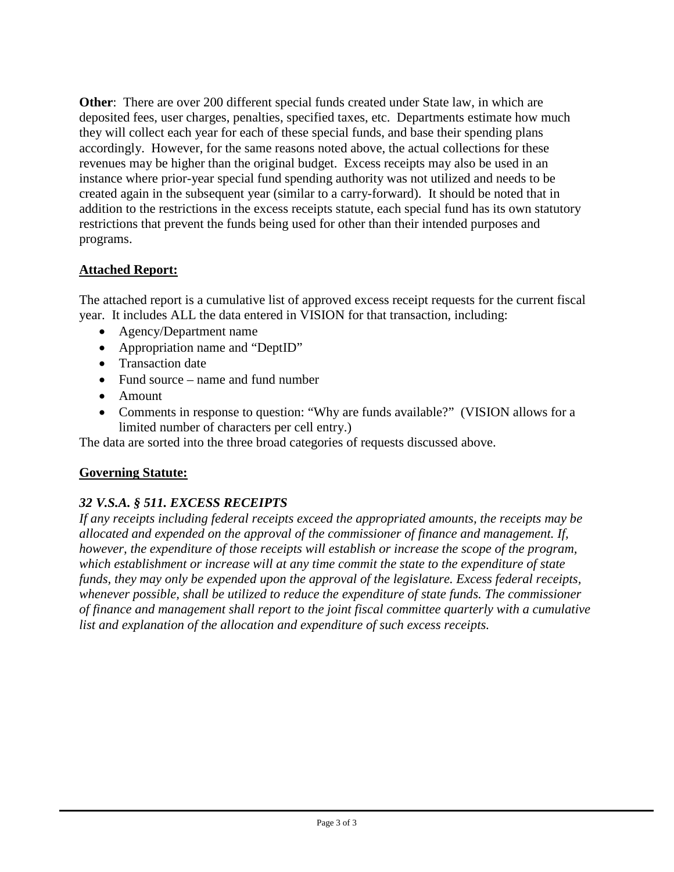**Other**: There are over 200 different special funds created under State law, in which are deposited fees, user charges, penalties, specified taxes, etc. Departments estimate how much they will collect each year for each of these special funds, and base their spending plans accordingly. However, for the same reasons noted above, the actual collections for these revenues may be higher than the original budget. Excess receipts may also be used in an instance where prior-year special fund spending authority was not utilized and needs to be created again in the subsequent year (similar to a carry-forward). It should be noted that in addition to the restrictions in the excess receipts statute, each special fund has its own statutory restrictions that prevent the funds being used for other than their intended purposes and programs.

# **Attached Report:**

The attached report is a cumulative list of approved excess receipt requests for the current fiscal year. It includes ALL the data entered in VISION for that transaction, including:

- Agency/Department name
- Appropriation name and "DeptID"
- Transaction date
- Fund source name and fund number
- Amount
- Comments in response to question: "Why are funds available?" (VISION allows for a limited number of characters per cell entry.)

The data are sorted into the three broad categories of requests discussed above.

# **Governing Statute:**

# *32 V.S.A. § 511. EXCESS RECEIPTS*

*If any receipts including federal receipts exceed the appropriated amounts, the receipts may be allocated and expended on the approval of the commissioner of finance and management. If, however, the expenditure of those receipts will establish or increase the scope of the program, which establishment or increase will at any time commit the state to the expenditure of state funds, they may only be expended upon the approval of the legislature. Excess federal receipts, whenever possible, shall be utilized to reduce the expenditure of state funds. The commissioner of finance and management shall report to the joint fiscal committee quarterly with a cumulative list and explanation of the allocation and expenditure of such excess receipts.*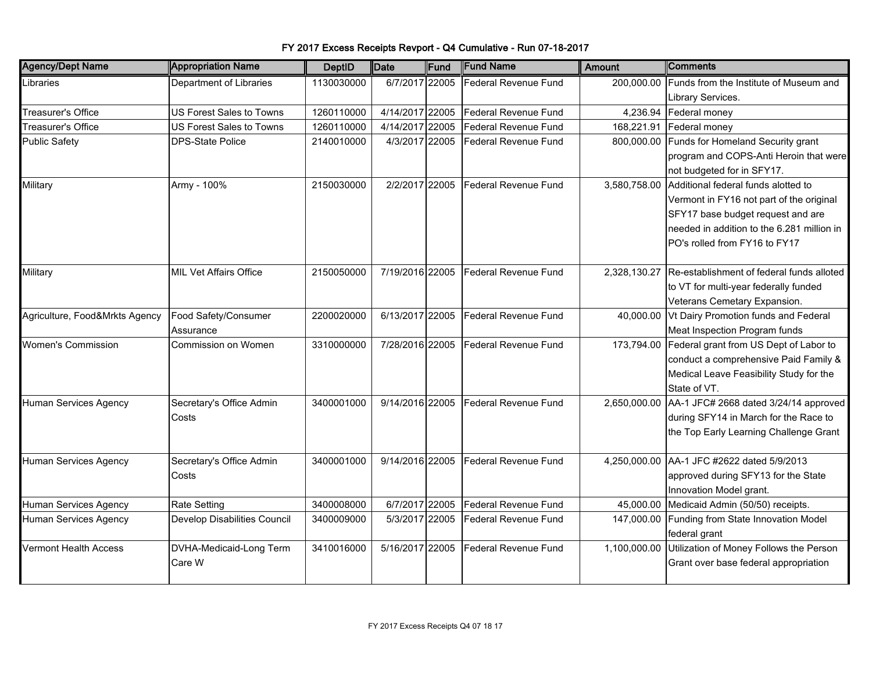| <b>Agency/Dept Name</b>        | <b>Appropriation Name</b>       | <b>DeptID</b> | Date            | Fund  | <b>Fund Name</b>            | Amount       | ∥Comments                                            |
|--------------------------------|---------------------------------|---------------|-----------------|-------|-----------------------------|--------------|------------------------------------------------------|
| Libraries                      | Department of Libraries         | 1130030000    | 6/7/2017 22005  |       | Federal Revenue Fund        | 200,000.00   | Funds from the Institute of Museum and               |
|                                |                                 |               |                 |       |                             |              | Library Services.                                    |
| Treasurer's Office             | <b>US Forest Sales to Towns</b> | 1260110000    | 4/14/2017       | 22005 | <b>Federal Revenue Fund</b> |              | 4,236.94 Federal money                               |
| Treasurer's Office             | US Forest Sales to Towns        | 1260110000    | 4/14/2017       | 22005 | Federal Revenue Fund        | 168,221.91   | Federal money                                        |
| <b>Public Safety</b>           | <b>DPS-State Police</b>         | 2140010000    | 4/3/2017 22005  |       | <b>Federal Revenue Fund</b> | 800,000.00   | Funds for Homeland Security grant                    |
|                                |                                 |               |                 |       |                             |              | program and COPS-Anti Heroin that were               |
|                                |                                 |               |                 |       |                             |              | not budgeted for in SFY17.                           |
| Military                       | Army - 100%                     | 2150030000    | 2/2/2017 22005  |       | <b>Federal Revenue Fund</b> | 3,580,758.00 | Additional federal funds alotted to                  |
|                                |                                 |               |                 |       |                             |              | Vermont in FY16 not part of the original             |
|                                |                                 |               |                 |       |                             |              | SFY17 base budget request and are                    |
|                                |                                 |               |                 |       |                             |              | needed in addition to the 6.281 million in           |
|                                |                                 |               |                 |       |                             |              | PO's rolled from FY16 to FY17                        |
|                                |                                 |               |                 |       |                             |              |                                                      |
| Military                       | <b>MIL Vet Affairs Office</b>   | 2150050000    | 7/19/2016 22005 |       | Federal Revenue Fund        | 2,328,130.27 | Re-establishment of federal funds alloted            |
|                                |                                 |               |                 |       |                             |              | to VT for multi-year federally funded                |
|                                |                                 |               |                 |       |                             |              | Veterans Cemetary Expansion.                         |
| Agriculture, Food&Mrkts Agency | Food Safety/Consumer            | 2200020000    | 6/13/2017 22005 |       | <b>Federal Revenue Fund</b> | 40,000.00    | Vt Dairy Promotion funds and Federal                 |
|                                | Assurance                       |               |                 |       |                             |              | Meat Inspection Program funds                        |
| <b>Women's Commission</b>      | Commission on Women             | 3310000000    | 7/28/2016 22005 |       | Federal Revenue Fund        |              | 173,794.00 Federal grant from US Dept of Labor to    |
|                                |                                 |               |                 |       |                             |              | conduct a comprehensive Paid Family &                |
|                                |                                 |               |                 |       |                             |              | Medical Leave Feasibility Study for the              |
|                                |                                 |               |                 |       |                             |              | State of VT.                                         |
| Human Services Agency          | Secretary's Office Admin        | 3400001000    | 9/14/2016 22005 |       | <b>Federal Revenue Fund</b> | 2,650,000.00 | AA-1 JFC# 2668 dated 3/24/14 approved                |
|                                | Costs                           |               |                 |       |                             |              | during SFY14 in March for the Race to                |
|                                |                                 |               |                 |       |                             |              | the Top Early Learning Challenge Grant               |
|                                |                                 |               |                 |       |                             |              |                                                      |
| Human Services Agency          | Secretary's Office Admin        | 3400001000    | 9/14/2016 22005 |       | <b>Federal Revenue Fund</b> | 4,250,000.00 | AA-1 JFC #2622 dated 5/9/2013                        |
|                                | Costs                           |               |                 |       |                             |              | approved during SFY13 for the State                  |
|                                |                                 |               |                 |       |                             |              | Innovation Model grant.                              |
| Human Services Agency          | <b>Rate Setting</b>             | 3400008000    | 6/7/2017 22005  |       | <b>Federal Revenue Fund</b> | 45,000.00    | Medicaid Admin (50/50) receipts.                     |
| Human Services Agency          | Develop Disabilities Council    | 3400009000    | 5/3/2017 22005  |       | Federal Revenue Fund        | 147,000.00   | Funding from State Innovation Model                  |
|                                |                                 |               |                 |       |                             |              | federal grant                                        |
| Vermont Health Access          | DVHA-Medicaid-Long Term         | 3410016000    | 5/16/2017 22005 |       | Federal Revenue Fund        |              | 1,100,000.00 Utilization of Money Follows the Person |
|                                | Care W                          |               |                 |       |                             |              | Grant over base federal appropriation                |
|                                |                                 |               |                 |       |                             |              |                                                      |

FY 2017 Excess Receipts Revport - Q4 Cumulative - Run 07-18-2017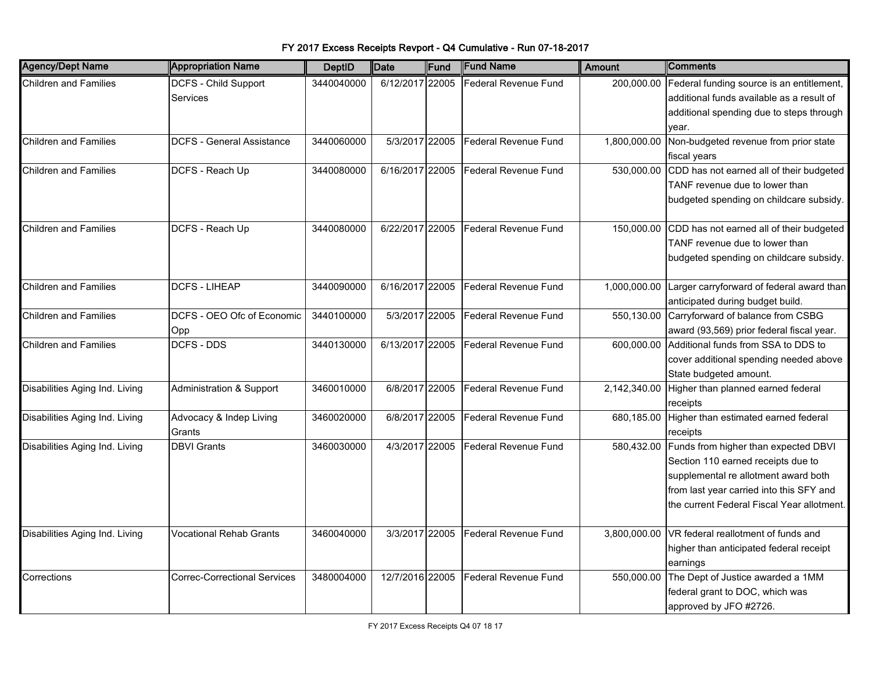| <b>Agency/Dept Name</b>        | <b>Appropriation Name</b>               | <b>DeptID</b> | Date            | Fund | <b>Fund Name</b>            | <b>Amount</b> | <b>Comments</b>                                                                                                                                                                                              |
|--------------------------------|-----------------------------------------|---------------|-----------------|------|-----------------------------|---------------|--------------------------------------------------------------------------------------------------------------------------------------------------------------------------------------------------------------|
| <b>Children and Families</b>   | <b>DCFS - Child Support</b><br>Services | 3440040000    | 6/12/2017 22005 |      | Federal Revenue Fund        | 200,000.00    | Federal funding source is an entitlement,<br>additional funds available as a result of<br>additional spending due to steps through                                                                           |
|                                |                                         |               |                 |      |                             |               | vear.                                                                                                                                                                                                        |
| <b>Children and Families</b>   | <b>DCFS - General Assistance</b>        | 3440060000    | 5/3/2017 22005  |      | <b>Federal Revenue Fund</b> | 1,800,000.00  | Non-budgeted revenue from prior state<br>fiscal years                                                                                                                                                        |
| <b>Children and Families</b>   | DCFS - Reach Up                         | 3440080000    | 6/16/2017 22005 |      | Federal Revenue Fund        | 530,000.00    | CDD has not earned all of their budgeted<br>TANF revenue due to lower than<br>budgeted spending on childcare subsidy.                                                                                        |
| <b>Children and Families</b>   | DCFS - Reach Up                         | 3440080000    | 6/22/2017 22005 |      | Federal Revenue Fund        | 150,000.00    | CDD has not earned all of their budgeted<br>TANF revenue due to lower than<br>budgeted spending on childcare subsidy.                                                                                        |
| <b>Children and Families</b>   | <b>DCFS - LIHEAP</b>                    | 3440090000    | 6/16/2017 22005 |      | Federal Revenue Fund        | 1,000,000.00  | Larger carryforward of federal award than<br>anticipated during budget build.                                                                                                                                |
| <b>Children and Families</b>   | DCFS - OEO Ofc of Economic<br>Opp       | 3440100000    | 5/3/2017 22005  |      | Federal Revenue Fund        | 550,130.00    | Carryforward of balance from CSBG<br>award (93,569) prior federal fiscal year.                                                                                                                               |
| <b>Children and Families</b>   | <b>DCFS - DDS</b>                       | 3440130000    | 6/13/2017 22005 |      | Federal Revenue Fund        | 600,000.00    | Additional funds from SSA to DDS to<br>cover additional spending needed above<br>State budgeted amount.                                                                                                      |
| Disabilities Aging Ind. Living | Administration & Support                | 3460010000    | 6/8/2017 22005  |      | <b>Federal Revenue Fund</b> | 2,142,340.00  | Higher than planned earned federal<br>receipts                                                                                                                                                               |
| Disabilities Aging Ind. Living | Advocacy & Indep Living<br>Grants       | 3460020000    | 6/8/2017 22005  |      | Federal Revenue Fund        | 680,185.00    | Higher than estimated earned federal<br>receipts                                                                                                                                                             |
| Disabilities Aging Ind. Living | <b>DBVI Grants</b>                      | 3460030000    | 4/3/2017 22005  |      | Federal Revenue Fund        | 580,432.00    | Funds from higher than expected DBVI<br>Section 110 earned receipts due to<br>supplemental re allotment award both<br>from last year carried into this SFY and<br>the current Federal Fiscal Year allotment. |
| Disabilities Aging Ind. Living | Vocational Rehab Grants                 | 3460040000    | 3/3/2017 22005  |      | Federal Revenue Fund        | 3,800,000.00  | VR federal reallotment of funds and<br>higher than anticipated federal receipt<br>earnings                                                                                                                   |
| Corrections                    | <b>Correc-Correctional Services</b>     | 3480004000    | 12/7/2016 22005 |      | Federal Revenue Fund        | 550,000.00    | The Dept of Justice awarded a 1MM<br>federal grant to DOC, which was<br>approved by JFO #2726.                                                                                                               |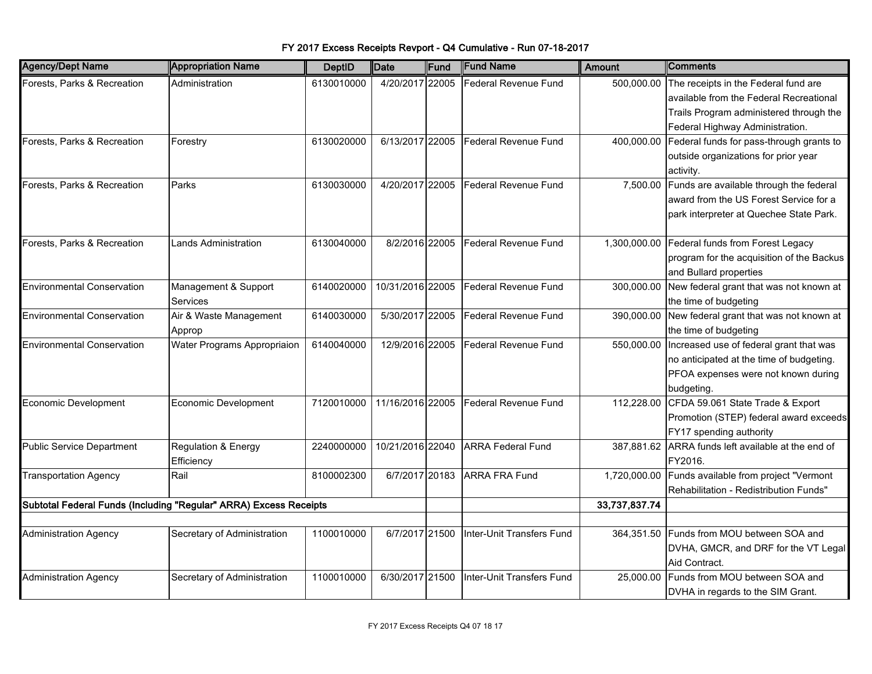| <b>Agency/Dept Name</b>           | <b>Appropriation Name</b>                                         | <b>DeptID</b> | Date             | Fund | <b>Fund Name</b>          | Amount        | Comments                                           |
|-----------------------------------|-------------------------------------------------------------------|---------------|------------------|------|---------------------------|---------------|----------------------------------------------------|
| Forests, Parks & Recreation       | Administration                                                    | 6130010000    | 4/20/2017 22005  |      | Federal Revenue Fund      | 500,000.00    | The receipts in the Federal fund are               |
|                                   |                                                                   |               |                  |      |                           |               | available from the Federal Recreational            |
|                                   |                                                                   |               |                  |      |                           |               | Trails Program administered through the            |
|                                   |                                                                   |               |                  |      |                           |               | Federal Highway Administration.                    |
| Forests, Parks & Recreation       | Forestry                                                          | 6130020000    | 6/13/2017 22005  |      | Federal Revenue Fund      | 400,000.00    | Federal funds for pass-through grants to           |
|                                   |                                                                   |               |                  |      |                           |               | outside organizations for prior year               |
|                                   |                                                                   |               |                  |      |                           |               | activity.                                          |
| Forests, Parks & Recreation       | Parks                                                             | 6130030000    | 4/20/2017 22005  |      | Federal Revenue Fund      | 7,500.00      | Funds are available through the federal            |
|                                   |                                                                   |               |                  |      |                           |               | award from the US Forest Service for a             |
|                                   |                                                                   |               |                  |      |                           |               | park interpreter at Quechee State Park.            |
|                                   |                                                                   |               |                  |      |                           |               |                                                    |
| Forests, Parks & Recreation       | Lands Administration                                              | 6130040000    | 8/2/2016 22005   |      | Federal Revenue Fund      |               | 1,300,000.00 Federal funds from Forest Legacy      |
|                                   |                                                                   |               |                  |      |                           |               | program for the acquisition of the Backus          |
|                                   |                                                                   |               |                  |      |                           |               | and Bullard properties                             |
| <b>Environmental Conservation</b> | Management & Support                                              | 6140020000    | 10/31/2016 22005 |      | Federal Revenue Fund      | 300,000.00    | New federal grant that was not known at            |
|                                   | <b>Services</b>                                                   |               |                  |      |                           |               | the time of budgeting                              |
| <b>Environmental Conservation</b> | Air & Waste Management                                            | 6140030000    | 5/30/2017 22005  |      | Federal Revenue Fund      |               | 390,000.00 New federal grant that was not known at |
|                                   | Approp                                                            |               |                  |      |                           |               | the time of budgeting                              |
| <b>Environmental Conservation</b> | Water Programs Appropriaion                                       | 6140040000    | 12/9/2016 22005  |      | Federal Revenue Fund      |               | 550,000.00 Increased use of federal grant that was |
|                                   |                                                                   |               |                  |      |                           |               | no anticipated at the time of budgeting.           |
|                                   |                                                                   |               |                  |      |                           |               | PFOA expenses were not known during                |
|                                   |                                                                   |               |                  |      |                           |               | budgeting.                                         |
| <b>Economic Development</b>       | Economic Development                                              | 7120010000    | 11/16/2016 22005 |      | Federal Revenue Fund      | 112,228.00    | CFDA 59.061 State Trade & Export                   |
|                                   |                                                                   |               |                  |      |                           |               | Promotion (STEP) federal award exceeds             |
|                                   |                                                                   |               |                  |      |                           |               | FY17 spending authority                            |
| <b>Public Service Department</b>  | Regulation & Energy                                               | 2240000000    | 10/21/2016 22040 |      | <b>ARRA Federal Fund</b>  |               | 387,881.62 ARRA funds left available at the end of |
|                                   | Efficiency                                                        |               |                  |      |                           |               | FY2016.                                            |
| <b>Transportation Agency</b>      | Rail                                                              | 8100002300    | 6/7/2017 20183   |      | <b>ARRA FRA Fund</b>      |               | 1,720,000.00 Funds available from project "Vermont |
|                                   |                                                                   |               |                  |      |                           |               | Rehabilitation - Redistribution Funds"             |
|                                   | Subtotal Federal Funds (Including "Regular" ARRA) Excess Receipts |               |                  |      |                           | 33,737,837.74 |                                                    |
|                                   |                                                                   |               |                  |      |                           |               |                                                    |
| <b>Administration Agency</b>      | Secretary of Administration                                       | 1100010000    | 6/7/2017 21500   |      | Inter-Unit Transfers Fund |               | 364,351.50 Funds from MOU between SOA and          |
|                                   |                                                                   |               |                  |      |                           |               | DVHA, GMCR, and DRF for the VT Legal               |
|                                   |                                                                   |               |                  |      |                           |               | Aid Contract.                                      |
| <b>Administration Agency</b>      | Secretary of Administration                                       | 1100010000    | 6/30/2017 21500  |      | Inter-Unit Transfers Fund |               | 25,000.00 Funds from MOU between SOA and           |
|                                   |                                                                   |               |                  |      |                           |               | DVHA in regards to the SIM Grant.                  |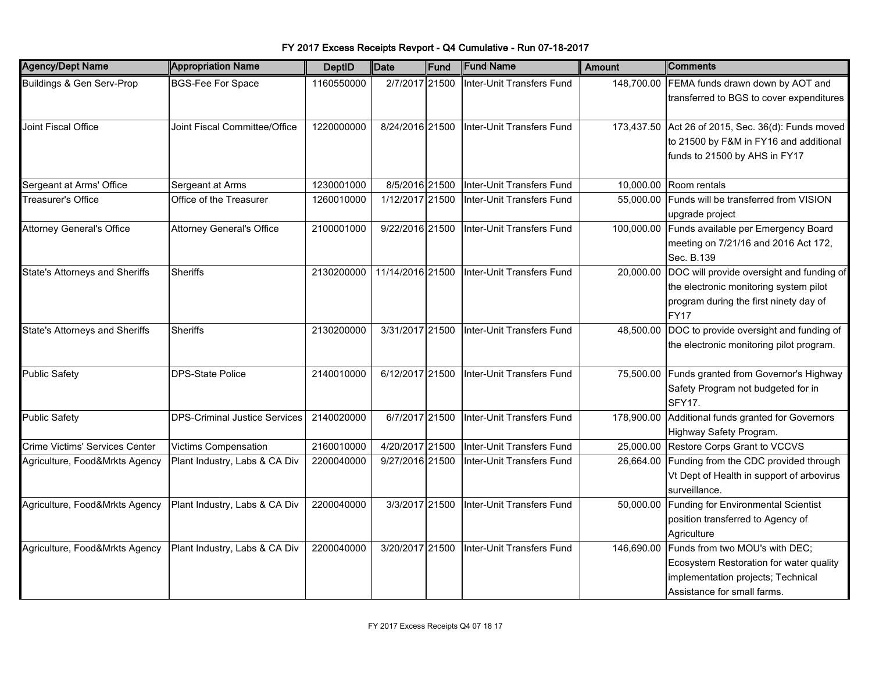| <b>Agency/Dept Name</b>               | <b>Appropriation Name</b>            | <b>DeptID</b> | <b>Date</b>      | Fund | <b>Fund Name</b>          | Amount     | <b>IComments</b>                                                                                                                               |
|---------------------------------------|--------------------------------------|---------------|------------------|------|---------------------------|------------|------------------------------------------------------------------------------------------------------------------------------------------------|
| Buildings & Gen Serv-Prop             | <b>BGS-Fee For Space</b>             | 1160550000    | 2/7/2017 21500   |      | Inter-Unit Transfers Fund | 148,700.00 | FEMA funds drawn down by AOT and<br>transferred to BGS to cover expenditures                                                                   |
| Joint Fiscal Office                   | Joint Fiscal Committee/Office        | 1220000000    | 8/24/2016 21500  |      | Inter-Unit Transfers Fund |            | 173,437.50 Act 26 of 2015, Sec. 36(d): Funds moved<br>to 21500 by F&M in FY16 and additional<br>funds to 21500 by AHS in FY17                  |
| Sergeant at Arms' Office              | Sergeant at Arms                     | 1230001000    | 8/5/2016 21500   |      | Inter-Unit Transfers Fund | 10,000.00  | Room rentals                                                                                                                                   |
| Treasurer's Office                    | Office of the Treasurer              | 1260010000    | 1/12/2017 21500  |      | Inter-Unit Transfers Fund | 55,000.00  | Funds will be transferred from VISION<br>upgrade project                                                                                       |
| Attorney General's Office             | <b>Attorney General's Office</b>     | 2100001000    | 9/22/2016 21500  |      | Inter-Unit Transfers Fund | 100,000.00 | Funds available per Emergency Board<br>meeting on 7/21/16 and 2016 Act 172,<br>Sec. B.139                                                      |
| <b>State's Attorneys and Sheriffs</b> | <b>Sheriffs</b>                      | 2130200000    | 11/14/2016 21500 |      | Inter-Unit Transfers Fund | 20,000.00  | DOC will provide oversight and funding of<br>the electronic monitoring system pilot<br>program during the first ninety day of<br><b>FY17</b>   |
| <b>State's Attorneys and Sheriffs</b> | <b>Sheriffs</b>                      | 2130200000    | 3/31/2017 21500  |      | Inter-Unit Transfers Fund | 48,500.00  | DOC to provide oversight and funding of<br>the electronic monitoring pilot program.                                                            |
| <b>Public Safety</b>                  | <b>DPS-State Police</b>              | 2140010000    | 6/12/2017 21500  |      | Inter-Unit Transfers Fund | 75,500.00  | Funds granted from Governor's Highway<br>Safety Program not budgeted for in<br><b>SFY17.</b>                                                   |
| <b>Public Safety</b>                  | <b>DPS-Criminal Justice Services</b> | 2140020000    | 6/7/2017 21500   |      | Inter-Unit Transfers Fund | 178,900.00 | Additional funds granted for Governors<br>Highway Safety Program.                                                                              |
| Crime Victims' Services Center        | <b>Victims Compensation</b>          | 2160010000    | 4/20/2017 21500  |      | Inter-Unit Transfers Fund |            | 25,000.00 Restore Corps Grant to VCCVS                                                                                                         |
| Agriculture, Food&Mrkts Agency        | Plant Industry, Labs & CA Div        | 2200040000    | 9/27/2016 21500  |      | Inter-Unit Transfers Fund |            | 26,664.00 Funding from the CDC provided through<br>Vt Dept of Health in support of arbovirus<br>surveillance.                                  |
| Agriculture, Food&Mrkts Agency        | Plant Industry, Labs & CA Div        | 2200040000    | 3/3/2017 21500   |      | Inter-Unit Transfers Fund | 50.000.00  | Funding for Environmental Scientist<br>position transferred to Agency of<br>Agriculture                                                        |
| Agriculture, Food&Mrkts Agency        | Plant Industry, Labs & CA Div        | 2200040000    | 3/20/2017 21500  |      | Inter-Unit Transfers Fund | 146,690.00 | Funds from two MOU's with DEC;<br>Ecosystem Restoration for water quality<br>implementation projects; Technical<br>Assistance for small farms. |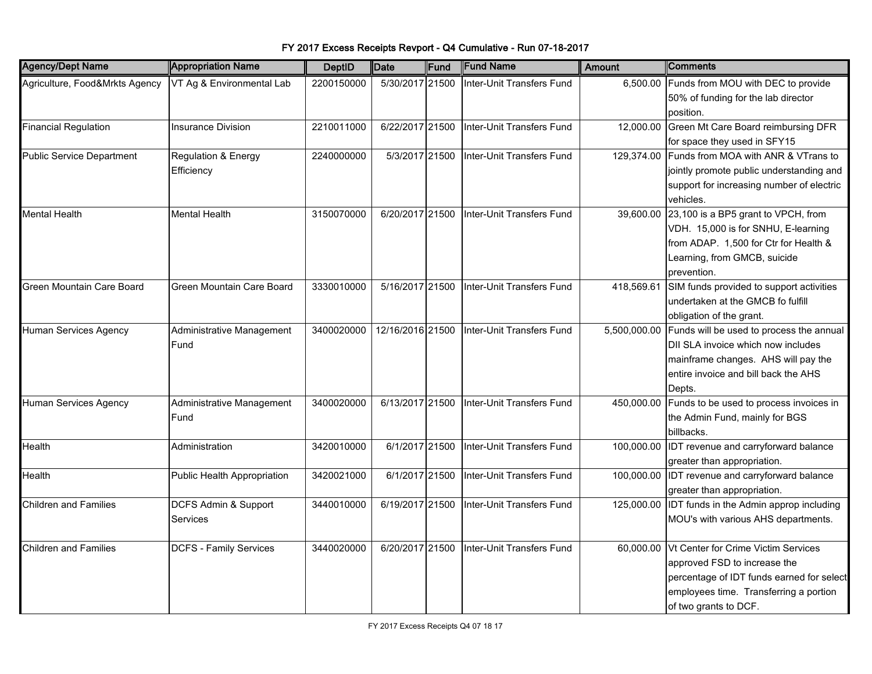| <b>Agency/Dept Name</b>          | <b>Appropriation Name</b>     | <b>DeptID</b> | Date             | Fund | <b>Fund Name</b>          | <b>Amount</b> | Comments                                              |
|----------------------------------|-------------------------------|---------------|------------------|------|---------------------------|---------------|-------------------------------------------------------|
| Agriculture, Food&Mrkts Agency   | VT Ag & Environmental Lab     | 2200150000    | 5/30/2017 21500  |      | Inter-Unit Transfers Fund | 6,500.00      | Funds from MOU with DEC to provide                    |
|                                  |                               |               |                  |      |                           |               | 50% of funding for the lab director                   |
|                                  |                               |               |                  |      |                           |               | position.                                             |
| <b>Financial Regulation</b>      | <b>Insurance Division</b>     | 2210011000    | 6/22/2017 21500  |      | Inter-Unit Transfers Fund | 12,000.00     | Green Mt Care Board reimbursing DFR                   |
|                                  |                               |               |                  |      |                           |               | for space they used in SFY15                          |
| <b>Public Service Department</b> | Regulation & Energy           | 2240000000    | 5/3/2017 21500   |      | Inter-Unit Transfers Fund |               | 129,374.00 Funds from MOA with ANR & VTrans to        |
|                                  | Efficiency                    |               |                  |      |                           |               | jointly promote public understanding and              |
|                                  |                               |               |                  |      |                           |               | support for increasing number of electric             |
|                                  |                               |               |                  |      |                           |               | vehicles.                                             |
| <b>Mental Health</b>             | Mental Health                 | 3150070000    | 6/20/2017 21500  |      | Inter-Unit Transfers Fund |               | 39,600.00 23,100 is a BP5 grant to VPCH, from         |
|                                  |                               |               |                  |      |                           |               | VDH. 15,000 is for SNHU, E-learning                   |
|                                  |                               |               |                  |      |                           |               | from ADAP. 1,500 for Ctr for Health &                 |
|                                  |                               |               |                  |      |                           |               | Learning, from GMCB, suicide                          |
|                                  |                               |               |                  |      |                           |               | prevention.                                           |
| Green Mountain Care Board        | Green Mountain Care Board     | 3330010000    | 5/16/2017 21500  |      | Inter-Unit Transfers Fund | 418,569.61    | SIM funds provided to support activities              |
|                                  |                               |               |                  |      |                           |               | undertaken at the GMCB fo fulfill                     |
|                                  |                               |               |                  |      |                           |               | obligation of the grant.                              |
| Human Services Agency            | Administrative Management     | 3400020000    | 12/16/2016 21500 |      | Inter-Unit Transfers Fund |               | 5,500,000.00 Funds will be used to process the annual |
|                                  | Fund                          |               |                  |      |                           |               | DII SLA invoice which now includes                    |
|                                  |                               |               |                  |      |                           |               | mainframe changes. AHS will pay the                   |
|                                  |                               |               |                  |      |                           |               | entire invoice and bill back the AHS                  |
|                                  |                               |               |                  |      |                           |               | Depts.                                                |
| Human Services Agency            | Administrative Management     | 3400020000    | 6/13/2017 21500  |      | Inter-Unit Transfers Fund |               | 450,000.00 Funds to be used to process invoices in    |
|                                  | Fund                          |               |                  |      |                           |               | the Admin Fund, mainly for BGS                        |
|                                  |                               |               |                  |      |                           |               | billbacks.                                            |
| Health                           | Administration                | 3420010000    | 6/1/2017 21500   |      | Inter-Unit Transfers Fund |               | 100,000.00 IDT revenue and carryforward balance       |
|                                  |                               |               |                  |      |                           |               | greater than appropriation.                           |
| Health                           | Public Health Appropriation   | 3420021000    | 6/1/2017 21500   |      | Inter-Unit Transfers Fund |               | 100,000.00 IDT revenue and carryforward balance       |
|                                  |                               |               |                  |      |                           |               | greater than appropriation.                           |
| <b>Children and Families</b>     | DCFS Admin & Support          | 3440010000    | 6/19/2017 21500  |      | Inter-Unit Transfers Fund | 125,000.00    | IDT funds in the Admin approp including               |
|                                  | Services                      |               |                  |      |                           |               | MOU's with various AHS departments.                   |
|                                  |                               |               |                  |      |                           |               |                                                       |
| <b>Children and Families</b>     | <b>DCFS - Family Services</b> | 3440020000    | 6/20/2017 21500  |      | Inter-Unit Transfers Fund | 60,000.00     | Vt Center for Crime Victim Services                   |
|                                  |                               |               |                  |      |                           |               | approved FSD to increase the                          |
|                                  |                               |               |                  |      |                           |               | percentage of IDT funds earned for select             |
|                                  |                               |               |                  |      |                           |               | employees time. Transferring a portion                |
|                                  |                               |               |                  |      |                           |               | of two grants to DCF.                                 |

FY 2017 Excess Receipts Revport - Q4 Cumulative - Run 07-18-2017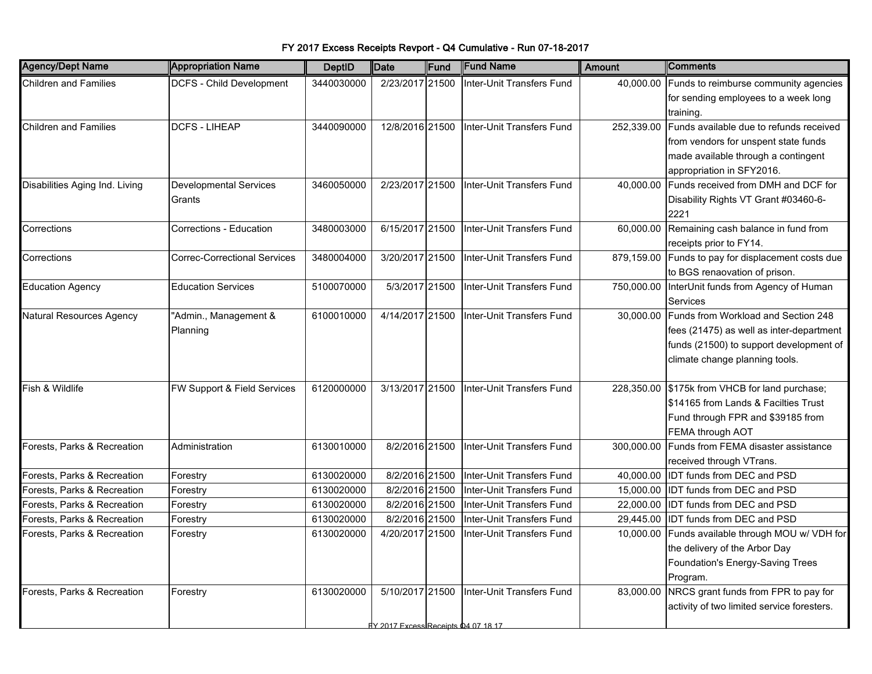| <b>Children and Families</b><br><b>DCFS - Child Development</b><br>2/23/2017 21500<br>40,000.00<br>3440030000<br>Inter-Unit Transfers Fund<br>Funds to reimburse community agencies<br>for sending employees to a week long<br>training.<br>12/8/2016 21500<br>Inter-Unit Transfers Fund<br><b>Children and Families</b><br><b>DCFS - LIHEAP</b><br>3440090000<br>252,339.00<br>Funds available due to refunds received<br>from vendors for unspent state funds<br>made available through a contingent<br>appropriation in SFY2016.<br>2/23/2017 21500<br>Inter-Unit Transfers Fund<br>Funds received from DMH and DCF for<br>Disabilities Aging Ind. Living<br><b>Developmental Services</b><br>3460050000<br>40,000.00 |
|--------------------------------------------------------------------------------------------------------------------------------------------------------------------------------------------------------------------------------------------------------------------------------------------------------------------------------------------------------------------------------------------------------------------------------------------------------------------------------------------------------------------------------------------------------------------------------------------------------------------------------------------------------------------------------------------------------------------------|
|                                                                                                                                                                                                                                                                                                                                                                                                                                                                                                                                                                                                                                                                                                                          |
|                                                                                                                                                                                                                                                                                                                                                                                                                                                                                                                                                                                                                                                                                                                          |
|                                                                                                                                                                                                                                                                                                                                                                                                                                                                                                                                                                                                                                                                                                                          |
|                                                                                                                                                                                                                                                                                                                                                                                                                                                                                                                                                                                                                                                                                                                          |
|                                                                                                                                                                                                                                                                                                                                                                                                                                                                                                                                                                                                                                                                                                                          |
|                                                                                                                                                                                                                                                                                                                                                                                                                                                                                                                                                                                                                                                                                                                          |
|                                                                                                                                                                                                                                                                                                                                                                                                                                                                                                                                                                                                                                                                                                                          |
|                                                                                                                                                                                                                                                                                                                                                                                                                                                                                                                                                                                                                                                                                                                          |
| Disability Rights VT Grant #03460-6-<br>Grants                                                                                                                                                                                                                                                                                                                                                                                                                                                                                                                                                                                                                                                                           |
| 2221                                                                                                                                                                                                                                                                                                                                                                                                                                                                                                                                                                                                                                                                                                                     |
| Corrections - Education<br>6/15/2017 21500<br>Inter-Unit Transfers Fund<br>Remaining cash balance in fund from<br>3480003000<br>60,000.00<br>Corrections                                                                                                                                                                                                                                                                                                                                                                                                                                                                                                                                                                 |
| receipts prior to FY14.                                                                                                                                                                                                                                                                                                                                                                                                                                                                                                                                                                                                                                                                                                  |
| <b>Correc-Correctional Services</b><br>3480004000<br>3/20/2017 21500<br>Inter-Unit Transfers Fund<br>879,159.00<br>Funds to pay for displacement costs due<br>Corrections                                                                                                                                                                                                                                                                                                                                                                                                                                                                                                                                                |
| to BGS renaovation of prison.                                                                                                                                                                                                                                                                                                                                                                                                                                                                                                                                                                                                                                                                                            |
| 5100070000<br>5/3/2017 21500<br>Inter-Unit Transfers Fund<br>750,000.00<br>InterUnit funds from Agency of Human<br><b>Education Agency</b><br><b>Education Services</b>                                                                                                                                                                                                                                                                                                                                                                                                                                                                                                                                                  |
| Services                                                                                                                                                                                                                                                                                                                                                                                                                                                                                                                                                                                                                                                                                                                 |
| "Admin., Management &<br>4/14/2017 21500<br>Inter-Unit Transfers Fund<br>Funds from Workload and Section 248<br><b>Natural Resources Agency</b><br>6100010000<br>30,000.00                                                                                                                                                                                                                                                                                                                                                                                                                                                                                                                                               |
| fees (21475) as well as inter-department<br>Planning                                                                                                                                                                                                                                                                                                                                                                                                                                                                                                                                                                                                                                                                     |
| funds (21500) to support development of                                                                                                                                                                                                                                                                                                                                                                                                                                                                                                                                                                                                                                                                                  |
| climate change planning tools.                                                                                                                                                                                                                                                                                                                                                                                                                                                                                                                                                                                                                                                                                           |
|                                                                                                                                                                                                                                                                                                                                                                                                                                                                                                                                                                                                                                                                                                                          |
| Fish & Wildlife<br>FW Support & Field Services<br>3/13/2017 21500<br>Inter-Unit Transfers Fund<br>6120000000<br>228,350.00 \$175k from VHCB for land purchase;                                                                                                                                                                                                                                                                                                                                                                                                                                                                                                                                                           |
| \$14165 from Lands & Facilties Trust                                                                                                                                                                                                                                                                                                                                                                                                                                                                                                                                                                                                                                                                                     |
| Fund through FPR and \$39185 from                                                                                                                                                                                                                                                                                                                                                                                                                                                                                                                                                                                                                                                                                        |
| FEMA through AOT                                                                                                                                                                                                                                                                                                                                                                                                                                                                                                                                                                                                                                                                                                         |
| Forests, Parks & Recreation<br>8/2/2016 21500<br>Inter-Unit Transfers Fund<br>Funds from FEMA disaster assistance<br>Administration<br>6130010000<br>300,000.00                                                                                                                                                                                                                                                                                                                                                                                                                                                                                                                                                          |
| received through VTrans.                                                                                                                                                                                                                                                                                                                                                                                                                                                                                                                                                                                                                                                                                                 |
| 6130020000<br>8/2/2016 21500<br>Inter-Unit Transfers Fund<br>40,000.00<br><b>IDT funds from DEC and PSD</b><br>Forests, Parks & Recreation<br>Forestry                                                                                                                                                                                                                                                                                                                                                                                                                                                                                                                                                                   |
| Forests, Parks & Recreation<br>6130020000<br>8/2/2016 21500<br>Inter-Unit Transfers Fund<br><b>IDT funds from DEC and PSD</b><br>Forestry<br>15,000.00                                                                                                                                                                                                                                                                                                                                                                                                                                                                                                                                                                   |
| 8/2/2016 21500<br>Forests, Parks & Recreation<br>6130020000<br>Inter-Unit Transfers Fund<br>22,000.00<br><b>IDT funds from DEC and PSD</b><br>Forestry                                                                                                                                                                                                                                                                                                                                                                                                                                                                                                                                                                   |
| 6130020000<br>8/2/2016 21500<br>Inter-Unit Transfers Fund<br><b>IDT funds from DEC and PSD</b><br>Forests, Parks & Recreation<br>29,445.00<br>Forestry                                                                                                                                                                                                                                                                                                                                                                                                                                                                                                                                                                   |
| 4/20/2017 21500<br>Funds available through MOU w/ VDH for<br>Forests, Parks & Recreation<br>6130020000<br>Inter-Unit Transfers Fund<br>10,000.00<br>Forestry                                                                                                                                                                                                                                                                                                                                                                                                                                                                                                                                                             |
| the delivery of the Arbor Day                                                                                                                                                                                                                                                                                                                                                                                                                                                                                                                                                                                                                                                                                            |
| Foundation's Energy-Saving Trees                                                                                                                                                                                                                                                                                                                                                                                                                                                                                                                                                                                                                                                                                         |
| Program.                                                                                                                                                                                                                                                                                                                                                                                                                                                                                                                                                                                                                                                                                                                 |
| NRCS grant funds from FPR to pay for<br>5/10/2017 21500<br>Inter-Unit Transfers Fund<br>Forests, Parks & Recreation<br>6130020000<br>83,000.00<br>Forestry                                                                                                                                                                                                                                                                                                                                                                                                                                                                                                                                                               |
| activity of two limited service foresters.                                                                                                                                                                                                                                                                                                                                                                                                                                                                                                                                                                                                                                                                               |
| <u>FY 2017 Excess Receipts 04 07 18 17</u>                                                                                                                                                                                                                                                                                                                                                                                                                                                                                                                                                                                                                                                                               |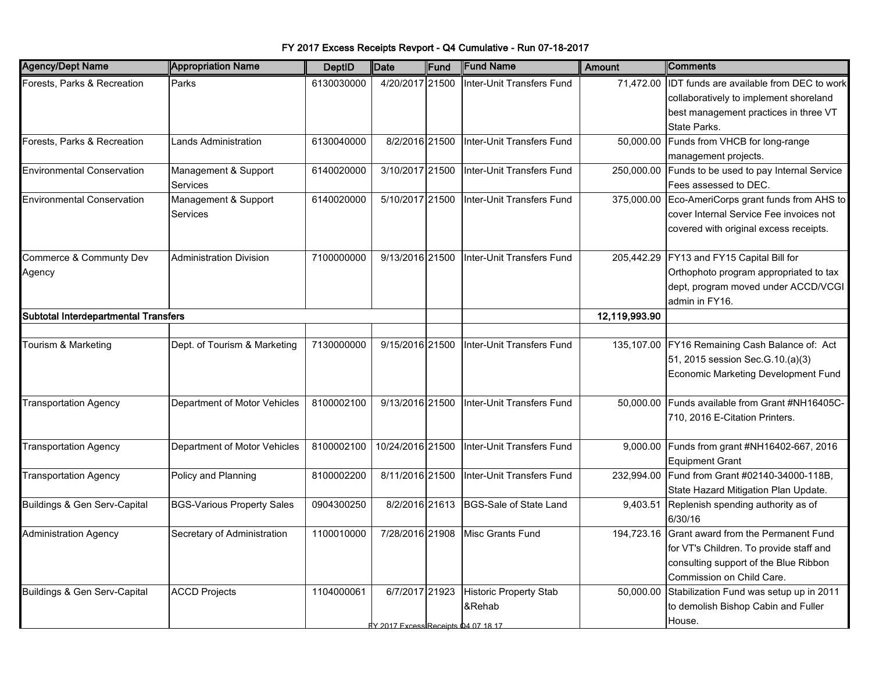| <b>Agency/Dept Name</b>              | <b>Appropriation Name</b>         | <b>DeptID</b> | Date                                                 | Fund | <b>Fund Name</b>                        | <b>Amount</b> | Comments                                                                                                                                             |
|--------------------------------------|-----------------------------------|---------------|------------------------------------------------------|------|-----------------------------------------|---------------|------------------------------------------------------------------------------------------------------------------------------------------------------|
| Forests, Parks & Recreation          | Parks                             | 6130030000    | 4/20/2017 21500                                      |      | Inter-Unit Transfers Fund               | 71,472.00     | IDT funds are available from DEC to work<br>collaboratively to implement shoreland<br>best management practices in three VT                          |
| Forests, Parks & Recreation          | <b>Lands Administration</b>       | 6130040000    | 8/2/2016 21500                                       |      | Inter-Unit Transfers Fund               | 50,000.00     | State Parks.<br>Funds from VHCB for long-range                                                                                                       |
|                                      |                                   |               |                                                      |      |                                         |               | management projects.                                                                                                                                 |
| <b>Environmental Conservation</b>    | Management & Support<br>Services  | 6140020000    | 3/10/2017 21500                                      |      | Inter-Unit Transfers Fund               | 250,000.00    | Funds to be used to pay Internal Service<br>Fees assessed to DEC.                                                                                    |
| <b>Environmental Conservation</b>    | Management & Support<br>Services  | 6140020000    | 5/10/2017 21500                                      |      | Inter-Unit Transfers Fund               | 375,000.00    | Eco-AmeriCorps grant funds from AHS to<br>cover Internal Service Fee invoices not<br>covered with original excess receipts.                          |
| Commerce & Communty Dev<br>Agency    | <b>Administration Division</b>    | 7100000000    | 9/13/2016 21500                                      |      | Inter-Unit Transfers Fund               |               | 205,442.29 FY13 and FY15 Capital Bill for<br>Orthophoto program appropriated to tax<br>dept, program moved under ACCD/VCGI<br>admin in FY16.         |
| Subtotal Interdepartmental Transfers |                                   |               |                                                      |      | 12,119,993.90                           |               |                                                                                                                                                      |
|                                      |                                   |               |                                                      |      |                                         |               |                                                                                                                                                      |
| Tourism & Marketing                  | Dept. of Tourism & Marketing      | 7130000000    | 9/15/2016 21500                                      |      | Inter-Unit Transfers Fund               | 135,107.00    | FY16 Remaining Cash Balance of: Act<br>51, 2015 session Sec. G. 10. (a) (3)<br>Economic Marketing Development Fund                                   |
| <b>Transportation Agency</b>         | Department of Motor Vehicles      | 8100002100    | 9/13/2016 21500                                      |      | Inter-Unit Transfers Fund               | 50,000.00     | Funds available from Grant #NH16405C-<br>710, 2016 E-Citation Printers.                                                                              |
| <b>Transportation Agency</b>         | Department of Motor Vehicles      | 8100002100    | 10/24/2016 21500                                     |      | Inter-Unit Transfers Fund               | 9,000.00      | Funds from grant #NH16402-667, 2016<br><b>Equipment Grant</b>                                                                                        |
| <b>Transportation Agency</b>         | Policy and Planning               | 8100002200    | 8/11/2016 21500                                      |      | Inter-Unit Transfers Fund               | 232,994.00    | Fund from Grant #02140-34000-118B,<br>State Hazard Mitigation Plan Update.                                                                           |
| Buildings & Gen Serv-Capital         | <b>BGS-Various Property Sales</b> | 0904300250    | 8/2/2016 21613                                       |      | <b>BGS-Sale of State Land</b>           | 9,403.51      | Replenish spending authority as of<br>6/30/16                                                                                                        |
| <b>Administration Agency</b>         | Secretary of Administration       | 1100010000    | 7/28/2016 21908                                      |      | <b>Misc Grants Fund</b>                 | 194,723.16    | Grant award from the Permanent Fund<br>for VT's Children. To provide staff and<br>consulting support of the Blue Ribbon<br>Commission on Child Care. |
| Buildings & Gen Serv-Capital         | <b>ACCD Projects</b>              | 1104000061    | 6/7/2017 21923<br>V 2017 Excess Receints 04 07 18 17 |      | <b>Historic Property Stab</b><br>&Rehab | 50,000.00     | Stabilization Fund was setup up in 2011<br>to demolish Bishop Cabin and Fuller<br>House.                                                             |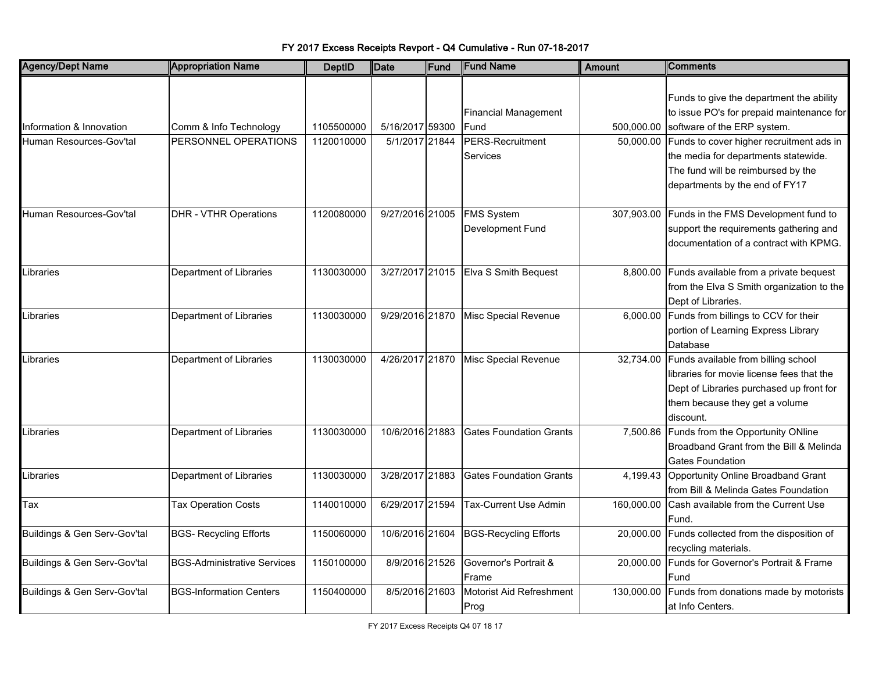| <b>Agency/Dept Name</b>      | <b>Appropriation Name</b>          | <b>DeptID</b> | Date            | Fund | <b>Fund Name</b>                      | <b>Amount</b> | <b>Comments</b>                                                                                                                                                             |
|------------------------------|------------------------------------|---------------|-----------------|------|---------------------------------------|---------------|-----------------------------------------------------------------------------------------------------------------------------------------------------------------------------|
|                              |                                    |               |                 |      | <b>Financial Management</b>           |               | Funds to give the department the ability<br>to issue PO's for prepaid maintenance for                                                                                       |
| Information & Innovation     | Comm & Info Technology             | 1105500000    | 5/16/2017 59300 |      | Fund                                  |               | 500,000.00 software of the ERP system.                                                                                                                                      |
| Human Resources-Gov'tal      | PERSONNEL OPERATIONS               | 1120010000    | 5/1/2017 21844  |      | PERS-Recruitment<br><b>Services</b>   | 50,000.00     | Funds to cover higher recruitment ads in<br>the media for departments statewide.<br>The fund will be reimbursed by the<br>departments by the end of FY17                    |
| Human Resources-Gov'tal      | <b>DHR - VTHR Operations</b>       | 1120080000    | 9/27/2016 21005 |      | <b>FMS System</b><br>Development Fund | 307,903.00    | Funds in the FMS Development fund to<br>support the requirements gathering and<br>documentation of a contract with KPMG.                                                    |
| Libraries                    | Department of Libraries            | 1130030000    | 3/27/2017 21015 |      | Elva S Smith Bequest                  | 8,800.00      | Funds available from a private bequest<br>from the Elva S Smith organization to the<br>Dept of Libraries.                                                                   |
| Libraries                    | Department of Libraries            | 1130030000    | 9/29/2016 21870 |      | Misc Special Revenue                  |               | 6,000.00 Funds from billings to CCV for their<br>portion of Learning Express Library<br>Database                                                                            |
| Libraries                    | Department of Libraries            | 1130030000    | 4/26/2017 21870 |      | Misc Special Revenue                  | 32,734.00     | Funds available from billing school<br>libraries for movie license fees that the<br>Dept of Libraries purchased up front for<br>them because they get a volume<br>discount. |
| Libraries                    | Department of Libraries            | 1130030000    | 10/6/2016 21883 |      | <b>Gates Foundation Grants</b>        | 7,500.86      | Funds from the Opportunity ONline<br>Broadband Grant from the Bill & Melinda<br><b>Gates Foundation</b>                                                                     |
| Libraries                    | Department of Libraries            | 1130030000    | 3/28/2017 21883 |      | <b>Gates Foundation Grants</b>        | 4,199.43      | Opportunity Online Broadband Grant<br>from Bill & Melinda Gates Foundation                                                                                                  |
| Tax                          | <b>Tax Operation Costs</b>         | 1140010000    | 6/29/2017 21594 |      | Tax-Current Use Admin                 | 160,000.00    | Cash available from the Current Use<br>Fund.                                                                                                                                |
| Buildings & Gen Serv-Gov'tal | <b>BGS- Recycling Efforts</b>      | 1150060000    | 10/6/2016 21604 |      | <b>BGS-Recycling Efforts</b>          | 20,000.00     | Funds collected from the disposition of<br>recycling materials.                                                                                                             |
| Buildings & Gen Serv-Gov'tal | <b>BGS-Administrative Services</b> | 1150100000    | 8/9/2016 21526  |      | Governor's Portrait &<br>Frame        | 20.000.00     | Funds for Governor's Portrait & Frame<br>Fund                                                                                                                               |
| Buildings & Gen Serv-Gov'tal | <b>BGS-Information Centers</b>     | 1150400000    | 8/5/2016 21603  |      | Motorist Aid Refreshment<br>Prog      | 130,000.00    | Funds from donations made by motorists<br>at Info Centers.                                                                                                                  |

FY 2017 Excess Receipts Revport - Q4 Cumulative - Run 07-18-2017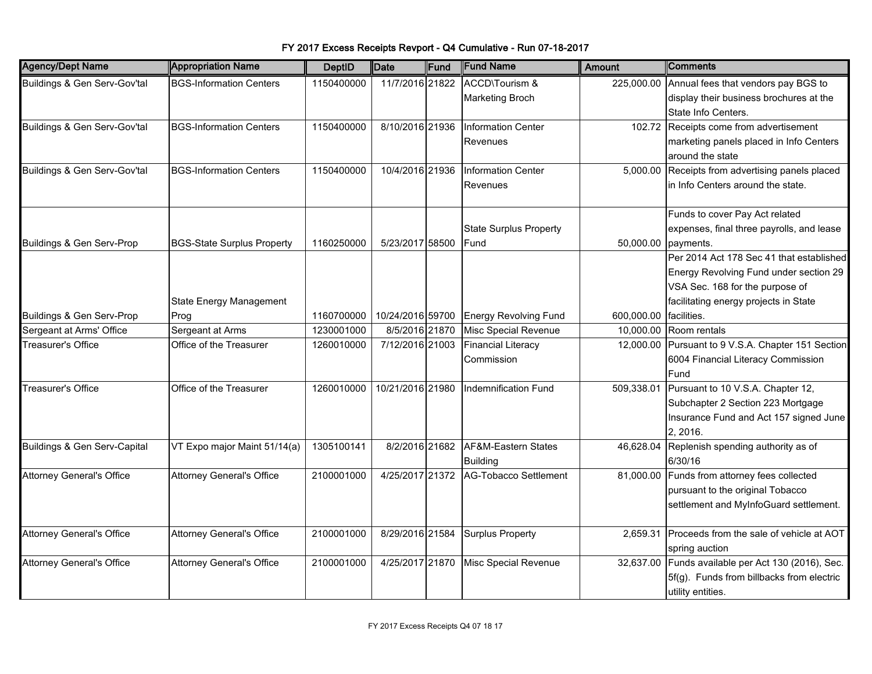| <b>Agency/Dept Name</b>          | <b>Appropriation Name</b>         | <b>DeptID</b> | Date             | Fund | <b>Fund Name</b>                      | Amount     | Comments                                  |
|----------------------------------|-----------------------------------|---------------|------------------|------|---------------------------------------|------------|-------------------------------------------|
| Buildings & Gen Serv-Gov'tal     | <b>BGS-Information Centers</b>    | 1150400000    | 11/7/2016 21822  |      | ACCD\Tourism &                        | 225,000.00 | Annual fees that vendors pay BGS to       |
|                                  |                                   |               |                  |      | <b>Marketing Broch</b>                |            | display their business brochures at the   |
|                                  |                                   |               |                  |      |                                       |            | State Info Centers.                       |
| Buildings & Gen Serv-Gov'tal     | <b>BGS-Information Centers</b>    | 1150400000    | 8/10/2016 21936  |      | Information Center                    | 102.72     | Receipts come from advertisement          |
|                                  |                                   |               |                  |      | Revenues                              |            | marketing panels placed in Info Centers   |
|                                  |                                   |               |                  |      |                                       |            | around the state                          |
| Buildings & Gen Serv-Gov'tal     | <b>BGS-Information Centers</b>    | 1150400000    | 10/4/2016 21936  |      | Information Center                    | 5,000.00   | Receipts from advertising panels placed   |
|                                  |                                   |               |                  |      | Revenues                              |            | in Info Centers around the state.         |
|                                  |                                   |               |                  |      |                                       |            | Funds to cover Pay Act related            |
|                                  |                                   |               |                  |      | <b>State Surplus Property</b>         |            | expenses, final three payrolls, and lease |
| Buildings & Gen Serv-Prop        | <b>BGS-State Surplus Property</b> | 1160250000    | 5/23/2017 58500  |      | Fund                                  | 50,000.00  | payments.                                 |
|                                  |                                   |               |                  |      |                                       |            | Per 2014 Act 178 Sec 41 that established  |
|                                  |                                   |               |                  |      |                                       |            | Energy Revolving Fund under section 29    |
|                                  |                                   |               |                  |      |                                       |            | VSA Sec. 168 for the purpose of           |
|                                  | <b>State Energy Management</b>    |               |                  |      |                                       |            | facilitating energy projects in State     |
| Buildings & Gen Serv-Prop        | Prog                              | 1160700000    | 10/24/2016 59700 |      | <b>Energy Revolving Fund</b>          | 600,000.00 | facilities.                               |
| Sergeant at Arms' Office         | Sergeant at Arms                  | 1230001000    | 8/5/2016 21870   |      | Misc Special Revenue                  | 10,000.00  | Room rentals                              |
| Treasurer's Office               | Office of the Treasurer           | 1260010000    | 7/12/2016 21003  |      | <b>Financial Literacy</b>             | 12,000.00  | Pursuant to 9 V.S.A. Chapter 151 Section  |
|                                  |                                   |               |                  |      | Commission                            |            | 6004 Financial Literacy Commission        |
|                                  |                                   |               |                  |      |                                       |            | Fund                                      |
| <b>Treasurer's Office</b>        | Office of the Treasurer           | 1260010000    | 10/21/2016 21980 |      | Indemnification Fund                  | 509,338.01 | Pursuant to 10 V.S.A. Chapter 12,         |
|                                  |                                   |               |                  |      |                                       |            | Subchapter 2 Section 223 Mortgage         |
|                                  |                                   |               |                  |      |                                       |            | Insurance Fund and Act 157 signed June    |
|                                  |                                   |               |                  |      |                                       |            | 2, 2016.                                  |
| Buildings & Gen Serv-Capital     | VT Expo major Maint 51/14(a)      | 1305100141    | 8/2/2016 21682   |      | AF&M-Eastern States                   | 46,628.04  | Replenish spending authority as of        |
|                                  |                                   |               |                  |      | <b>Building</b>                       |            | 6/30/16                                   |
| <b>Attorney General's Office</b> | <b>Attorney General's Office</b>  | 2100001000    |                  |      | 4/25/2017 21372 AG-Tobacco Settlement | 81,000.00  | Funds from attorney fees collected        |
|                                  |                                   |               |                  |      |                                       |            | pursuant to the original Tobacco          |
|                                  |                                   |               |                  |      |                                       |            | settlement and MyInfoGuard settlement.    |
| <b>Attorney General's Office</b> | <b>Attorney General's Office</b>  | 2100001000    | 8/29/2016 21584  |      | <b>Surplus Property</b>               | 2.659.31   | Proceeds from the sale of vehicle at AOT  |
|                                  |                                   |               |                  |      |                                       |            | spring auction                            |
| <b>Attorney General's Office</b> | <b>Attorney General's Office</b>  | 2100001000    | 4/25/2017 21870  |      | Misc Special Revenue                  | 32,637.00  | Funds available per Act 130 (2016), Sec.  |
|                                  |                                   |               |                  |      |                                       |            | 5f(g). Funds from billbacks from electric |
|                                  |                                   |               |                  |      |                                       |            | utility entities.                         |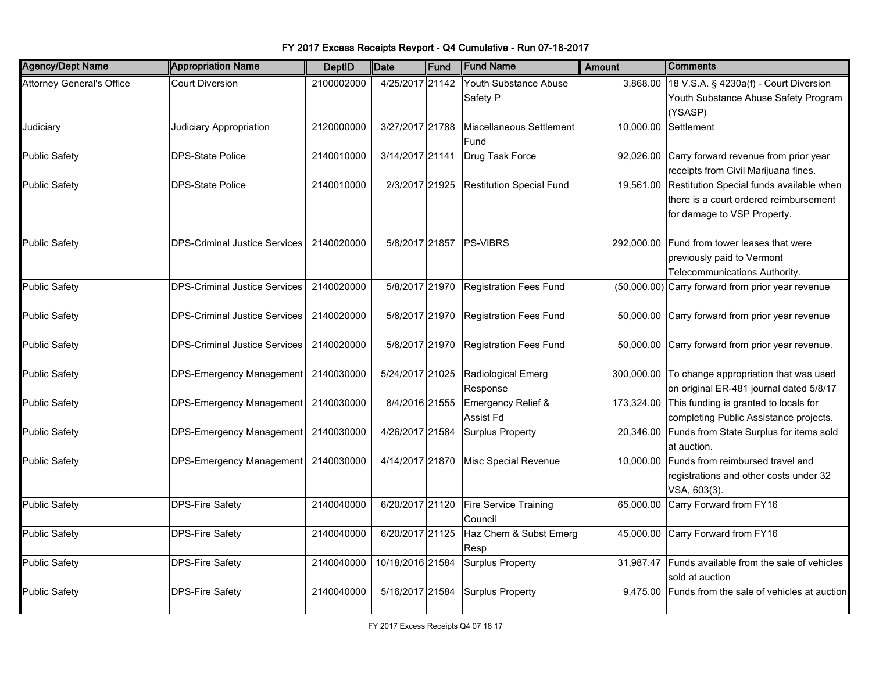| <b>Agency/Dept Name</b>          | <b>Appropriation Name</b>            | <b>DeptID</b> | <b>Date</b>      | Fund | <b>Fund Name</b>                  | <b>Amount</b> | <b>Comments</b>                                                                                                   |
|----------------------------------|--------------------------------------|---------------|------------------|------|-----------------------------------|---------------|-------------------------------------------------------------------------------------------------------------------|
| <b>Attorney General's Office</b> | <b>Court Diversion</b>               | 2100002000    | 4/25/2017 21142  |      | Youth Substance Abuse<br>Safety P | 3,868.00      | 18 V.S.A. § 4230a(f) - Court Diversion<br>Youth Substance Abuse Safety Program<br>(YSASP)                         |
| Judiciary                        | Judiciary Appropriation              | 2120000000    | 3/27/2017 21788  |      | Miscellaneous Settlement<br>Fund  | 10,000.00     | Settlement                                                                                                        |
| <b>Public Safety</b>             | <b>DPS-State Police</b>              | 2140010000    | 3/14/2017 21141  |      | Drug Task Force                   | 92,026.00     | Carry forward revenue from prior year<br>receipts from Civil Marijuana fines.                                     |
| <b>Public Safety</b>             | <b>DPS-State Police</b>              | 2140010000    | 2/3/2017 21925   |      | <b>Restitution Special Fund</b>   | 19,561.00     | Restitution Special funds available when<br>there is a court ordered reimbursement<br>for damage to VSP Property. |
| <b>Public Safety</b>             | <b>DPS-Criminal Justice Services</b> | 2140020000    |                  |      | 5/8/2017 21857 PS-VIBRS           | 292,000.00    | Fund from tower leases that were<br>previously paid to Vermont<br>Telecommunications Authority.                   |
| <b>Public Safety</b>             | <b>DPS-Criminal Justice Services</b> | 2140020000    | 5/8/2017 21970   |      | Registration Fees Fund            |               | (50,000.00) Carry forward from prior year revenue                                                                 |
| Public Safety                    | <b>DPS-Criminal Justice Services</b> | 2140020000    | 5/8/2017 21970   |      | <b>Registration Fees Fund</b>     | 50,000.00     | Carry forward from prior year revenue                                                                             |
| Public Safety                    | <b>DPS-Criminal Justice Services</b> | 2140020000    | 5/8/2017 21970   |      | Registration Fees Fund            | 50,000.00     | Carry forward from prior year revenue.                                                                            |
| <b>Public Safety</b>             | DPS-Emergency Management             | 2140030000    | 5/24/2017 21025  |      | Radiological Emerg<br>Response    |               | 300,000.00 To change appropriation that was used<br>on original ER-481 journal dated 5/8/17                       |
| <b>Public Safety</b>             | DPS-Emergency Management 2140030000  |               | 8/4/2016 21555   |      | Emergency Relief &<br>Assist Fd   |               | 173,324.00 This funding is granted to locals for<br>completing Public Assistance projects.                        |
| <b>Public Safety</b>             | DPS-Emergency Management 2140030000  |               | 4/26/2017 21584  |      | Surplus Property                  |               | 20,346.00 Funds from State Surplus for items sold<br>at auction.                                                  |
| <b>Public Safety</b>             | DPS-Emergency Management 2140030000  |               | 4/14/2017 21870  |      | Misc Special Revenue              | 10,000.00     | Funds from reimbursed travel and<br>registrations and other costs under 32<br>VSA, 603(3).                        |
| <b>Public Safety</b>             | <b>DPS-Fire Safety</b>               | 2140040000    | 6/20/2017 21120  |      | Fire Service Training<br>Council  | 65,000.00     | Carry Forward from FY16                                                                                           |
| <b>Public Safety</b>             | <b>DPS-Fire Safety</b>               | 2140040000    | 6/20/2017 21125  |      | Haz Chem & Subst Emerg<br>Resp    | 45,000.00     | Carry Forward from FY16                                                                                           |
| <b>Public Safety</b>             | <b>DPS-Fire Safety</b>               | 2140040000    | 10/18/2016 21584 |      | <b>Surplus Property</b>           | 31,987.47     | Funds available from the sale of vehicles<br>sold at auction                                                      |
| <b>Public Safety</b>             | <b>DPS-Fire Safety</b>               | 2140040000    | 5/16/2017 21584  |      | <b>Surplus Property</b>           | 9,475.00      | Funds from the sale of vehicles at auction                                                                        |

FY 2017 Excess Receipts Revport - Q4 Cumulative - Run 07-18-2017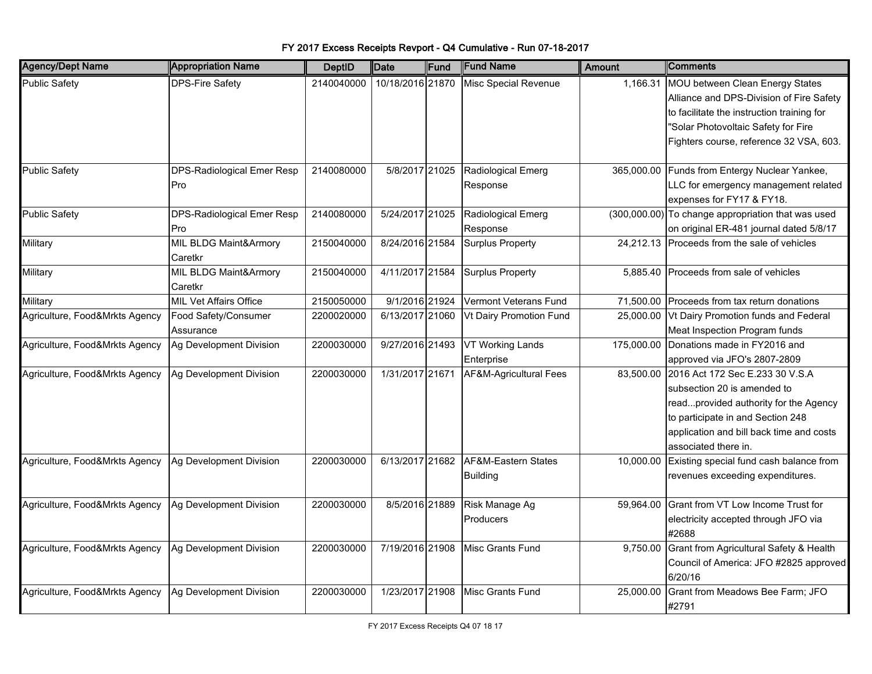| <b>Agency/Dept Name</b>        | <b>Appropriation Name</b>     | <b>DeptID</b> | Date             | Fund | <b>Fund Name</b>               | Amount     | Comments                                           |
|--------------------------------|-------------------------------|---------------|------------------|------|--------------------------------|------------|----------------------------------------------------|
| <b>Public Safety</b>           | <b>DPS-Fire Safety</b>        | 2140040000    | 10/18/2016 21870 |      | Misc Special Revenue           | 1,166.31   | MOU between Clean Energy States                    |
|                                |                               |               |                  |      |                                |            | Alliance and DPS-Division of Fire Safety           |
|                                |                               |               |                  |      |                                |            | to facilitate the instruction training for         |
|                                |                               |               |                  |      |                                |            | "Solar Photovoltaic Safety for Fire                |
|                                |                               |               |                  |      |                                |            | Fighters course, reference 32 VSA, 603.            |
|                                |                               |               |                  |      |                                |            |                                                    |
| <b>Public Safety</b>           | DPS-Radiological Emer Resp    | 2140080000    | 5/8/2017 21025   |      | Radiological Emerg             |            | 365,000.00 Funds from Entergy Nuclear Yankee,      |
|                                | Pro                           |               |                  |      | Response                       |            | LLC for emergency management related               |
|                                |                               |               |                  |      |                                |            | expenses for FY17 & FY18.                          |
| <b>Public Safety</b>           | DPS-Radiological Emer Resp    | 2140080000    | 5/24/2017 21025  |      | Radiological Emerg             |            | (300,000.00) To change appropriation that was used |
|                                | Pro                           |               |                  |      | Response                       |            | on original ER-481 journal dated 5/8/17            |
| Military                       | MIL BLDG Maint&Armory         | 2150040000    | 8/24/2016 21584  |      | <b>Surplus Property</b>        |            | 24,212.13 Proceeds from the sale of vehicles       |
|                                | Caretkr                       |               |                  |      |                                |            |                                                    |
| Military                       | MIL BLDG Maint&Armory         | 2150040000    | 4/11/2017 21584  |      | <b>Surplus Property</b>        | 5,885.40   | Proceeds from sale of vehicles                     |
|                                | Caretkr                       |               |                  |      |                                |            |                                                    |
| Military                       | <b>MIL Vet Affairs Office</b> | 2150050000    | 9/1/2016 21924   |      | Vermont Veterans Fund          | 71,500.00  | Proceeds from tax return donations                 |
| Agriculture, Food&Mrkts Agency | Food Safety/Consumer          | 2200020000    | 6/13/2017 21060  |      | <b>Vt Dairy Promotion Fund</b> | 25,000.00  | Vt Dairy Promotion funds and Federal               |
|                                | Assurance                     |               |                  |      |                                |            | Meat Inspection Program funds                      |
| Agriculture, Food&Mrkts Agency | Ag Development Division       | 2200030000    | 9/27/2016 21493  |      | <b>VT Working Lands</b>        | 175,000.00 | Donations made in FY2016 and                       |
|                                |                               |               |                  |      | Enterprise                     |            | approved via JFO's 2807-2809                       |
| Agriculture, Food&Mrkts Agency | Ag Development Division       | 2200030000    | 1/31/2017 21671  |      | AF&M-Agricultural Fees         | 83,500.00  | 2016 Act 172 Sec E.233 30 V.S.A                    |
|                                |                               |               |                  |      |                                |            | subsection 20 is amended to                        |
|                                |                               |               |                  |      |                                |            | readprovided authority for the Agency              |
|                                |                               |               |                  |      |                                |            | to participate in and Section 248                  |
|                                |                               |               |                  |      |                                |            | application and bill back time and costs           |
|                                |                               |               |                  |      |                                |            | associated there in.                               |
| Agriculture, Food&Mrkts Agency | Ag Development Division       | 2200030000    | 6/13/2017 21682  |      | AF&M-Eastern States            | 10,000.00  | Existing special fund cash balance from            |
|                                |                               |               |                  |      | <b>Building</b>                |            | revenues exceeding expenditures.                   |
|                                |                               |               |                  |      |                                |            |                                                    |
| Agriculture, Food&Mrkts Agency | Ag Development Division       | 2200030000    | 8/5/2016 21889   |      | Risk Manage Ag                 | 59,964.00  | Grant from VT Low Income Trust for                 |
|                                |                               |               |                  |      | Producers                      |            | electricity accepted through JFO via               |
|                                |                               |               |                  |      |                                |            | #2688                                              |
| Agriculture, Food&Mrkts Agency | Ag Development Division       | 2200030000    | 7/19/2016 21908  |      | Misc Grants Fund               | 9,750.00   | Grant from Agricultural Safety & Health            |
|                                |                               |               |                  |      |                                |            | Council of America: JFO #2825 approved             |
|                                |                               |               |                  |      |                                |            | 6/20/16                                            |
| Agriculture, Food&Mrkts Agency | Ag Development Division       | 2200030000    | 1/23/2017 21908  |      | Misc Grants Fund               | 25,000.00  | Grant from Meadows Bee Farm; JFO                   |
|                                |                               |               |                  |      |                                |            | #2791                                              |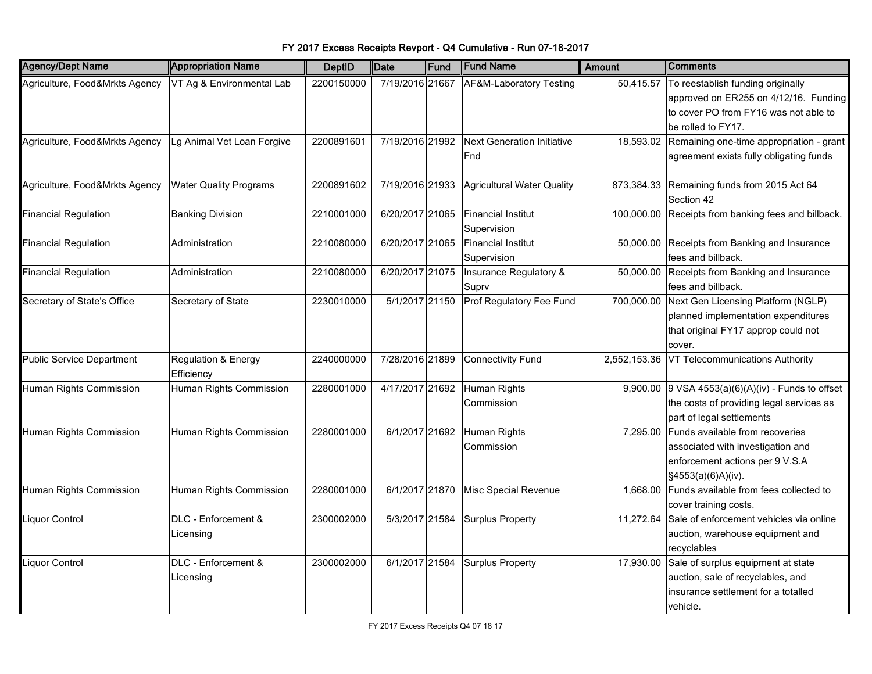#### Agency/Dept Name **Appropriation Name DeptID Date Fund Fund Name** Amount Comments Agriculture, Food&Mrkts Agency NT Ag & Environmental Lab (2200150000) 7/19/2016 21667 AF&M-Laboratory Testing  $\,$  50,415.57 To reestablish funding originally approved on ER255 on 4/12/16. Funding to cover PO from FY16 was not able to be rolled to FY17. Agriculture, Food&Mrkts Agency Lg Animal Vet Loan Forgive 2200891601 7/19/2016 21992 Next Generation Initiative Fnd 18,593.02 Remaining one-time appropriation - grant agreement exists fully obligating funds Agriculture, Food&Mrkts Agency Water Quality Programs 2200891602 7/19/2016 21933 Agricultural Water Quality 873,384.33 Remaining funds from 2015 Act 64 Section 42 Financial Regulation Banking Division 2210001000 6/20/2017 21065 Financial Institut Supervision 100,000.00 Receipts from banking fees and billback. Financial Regulation Administration 2210080000 6/20/2017 21065 Financial Institut Supervision 50,000.00 Receipts from Banking and Insurance fees and billback. Financial Regulation Administration 2210080000 6/20/2017 21075 Insurance Regulatory & Suprv 50,000.00 Receipts from Banking and Insurance fees and billback. Secretary of State's Office Secretary of State 2230010000 | 5/1/2017 21150 Prof Regulatory Fee Fund | 700,000.00 Next Gen Licensing Platform (NGLP) planned implementation expenditures that original FY17 approp could not cover. Public Service Department Regulation & Energy **Efficiency** 2240000000 7/28/2016 21899 Connectivity Fund 2,552,153.36 VT Telecommunications Authority Human Rights Commission Human Rights Commission 2280001000 4/17/2017 21692 Human Rights Commission 9,900.00 9 VSA  $4553(a)(6)(A)(iv)$  - Funds to offset the costs of providing legal services as part of legal settlements Human Rights Commission Human Rights Commission 2280001000 6/1/2017 21692 Human Rights Commission 7,295.00 Funds available from recoveries associated with investigation and enforcement actions per 9 V.S.A §4553(a)(6)A)(iv). Human Rights Commission Human Rights Commission 2280001000 6/1/2017 21870 Misc Special Revenue 1,668.00 Funds available from fees collected to cover training costs. Liquor Control DLC - Enforcement & Licensing 2300002000 | 5/3/2017 | 21584 Surplus Property | 11,272.64 Sale of enforcement vehicles via online auction, warehouse equipment and recyclables Liquor Control DLC - Enforcement & **Licensing** 2300002000 6/1/2017 21584 Surplus Property 17,930.00 Sale of surplus equipment at state auction, sale of recyclables, and insurance settlement for a totalled vehicle.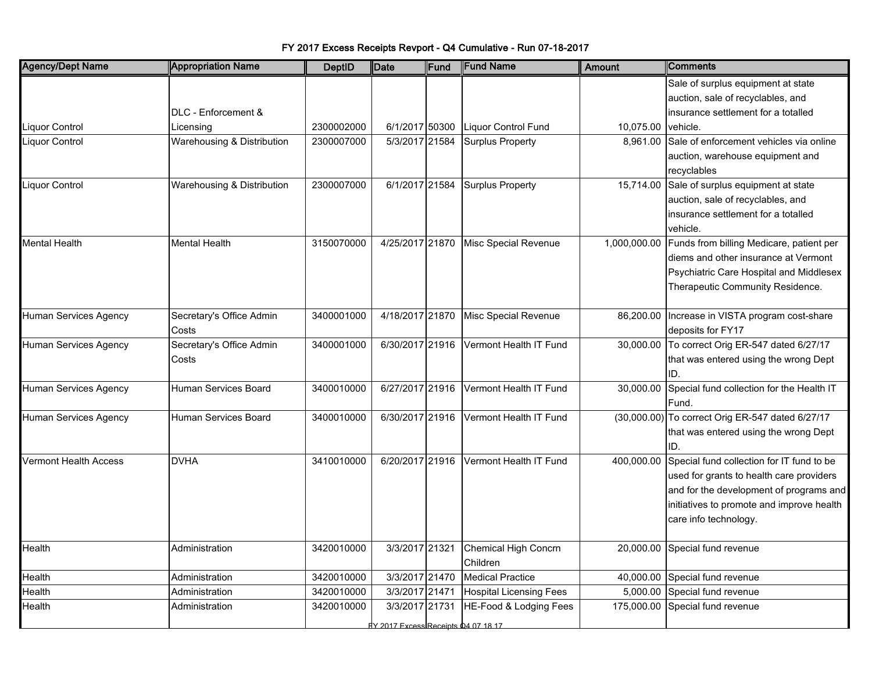FY 2017 Excess Receipts Revport - Q4 Cumulative - Run 07-18-2017

| <b>Agency/Dept Name</b>      | <b>Appropriation Name</b>  | <b>DeptID</b> | Date                                | Fund | <b>Fund Name</b>               | <b>Amount</b> | <b>Comments</b>                                  |
|------------------------------|----------------------------|---------------|-------------------------------------|------|--------------------------------|---------------|--------------------------------------------------|
|                              |                            |               |                                     |      |                                |               | Sale of surplus equipment at state               |
|                              |                            |               |                                     |      |                                |               | auction, sale of recyclables, and                |
|                              | DLC - Enforcement &        |               |                                     |      |                                |               | insurance settlement for a totalled              |
| Liquor Control               | Licensing                  | 2300002000    | 6/1/2017 50300                      |      | Liquor Control Fund            | 10,075.00     | vehicle.                                         |
| Liquor Control               | Warehousing & Distribution | 2300007000    | 5/3/2017 21584                      |      | <b>Surplus Property</b>        | 8,961.00      | Sale of enforcement vehicles via online          |
|                              |                            |               |                                     |      |                                |               | auction, warehouse equipment and                 |
|                              |                            |               |                                     |      |                                |               | recyclables                                      |
| Liquor Control               | Warehousing & Distribution | 2300007000    | 6/1/2017 21584                      |      | <b>Surplus Property</b>        | 15,714.00     | Sale of surplus equipment at state               |
|                              |                            |               |                                     |      |                                |               | auction, sale of recyclables, and                |
|                              |                            |               |                                     |      |                                |               | insurance settlement for a totalled              |
|                              |                            |               |                                     |      |                                |               | vehicle.                                         |
| <b>Mental Health</b>         | <b>Mental Health</b>       | 3150070000    | 4/25/2017 21870                     |      | Misc Special Revenue           | 1,000,000.00  | Funds from billing Medicare, patient per         |
|                              |                            |               |                                     |      |                                |               | diems and other insurance at Vermont             |
|                              |                            |               |                                     |      |                                |               | Psychiatric Care Hospital and Middlesex          |
|                              |                            |               |                                     |      |                                |               | Therapeutic Community Residence.                 |
|                              |                            |               |                                     |      |                                |               |                                                  |
| Human Services Agency        | Secretary's Office Admin   | 3400001000    | 4/18/2017 21870                     |      | Misc Special Revenue           |               | 86,200.00   Increase in VISTA program cost-share |
|                              | Costs                      |               |                                     |      |                                |               | deposits for FY17                                |
| Human Services Agency        | Secretary's Office Admin   | 3400001000    | 6/30/2017 21916                     |      | Vermont Health IT Fund         | 30,000.00     | To correct Orig ER-547 dated 6/27/17             |
|                              | Costs                      |               |                                     |      |                                |               | that was entered using the wrong Dept            |
|                              |                            |               |                                     |      |                                |               | ID.                                              |
| <b>Human Services Agency</b> | Human Services Board       | 3400010000    | 6/27/2017 21916                     |      | Vermont Health IT Fund         | 30,000.00     | Special fund collection for the Health IT        |
|                              |                            |               |                                     |      |                                |               | Fund.                                            |
| <b>Human Services Agency</b> | Human Services Board       | 3400010000    | 6/30/2017 21916                     |      | Vermont Health IT Fund         |               | (30,000.00) To correct Orig ER-547 dated 6/27/17 |
|                              |                            |               |                                     |      |                                |               | that was entered using the wrong Dept            |
|                              |                            |               |                                     |      |                                |               | ID.                                              |
| <b>Vermont Health Access</b> | <b>DVHA</b>                | 3410010000    | 6/20/2017 21916                     |      | Vermont Health IT Fund         | 400,000.00    | Special fund collection for IT fund to be        |
|                              |                            |               |                                     |      |                                |               | used for grants to health care providers         |
|                              |                            |               |                                     |      |                                |               | and for the development of programs and          |
|                              |                            |               |                                     |      |                                |               | initiatives to promote and improve health        |
|                              |                            |               |                                     |      |                                |               | care info technology.                            |
|                              |                            |               |                                     |      |                                |               |                                                  |
| Health                       | Administration             | 3420010000    | 3/3/2017 21321                      |      | Chemical High Concrn           | 20,000.00     | Special fund revenue                             |
|                              |                            |               |                                     |      | Children                       |               |                                                  |
| Health                       | Administration             | 3420010000    | 3/3/2017 21470                      |      | <b>Medical Practice</b>        | 40,000.00     | Special fund revenue                             |
| Health                       | Administration             | 3420010000    | 3/3/2017 21471                      |      | <b>Hospital Licensing Fees</b> | 5,000.00      | Special fund revenue                             |
| Health                       | Administration             | 3420010000    | 3/3/2017 21731                      |      | HE-Food & Lodging Fees         | 175,000.00    | Special fund revenue                             |
|                              |                            |               | FY 2017 Excess Receipts 04 07 18 17 |      |                                |               |                                                  |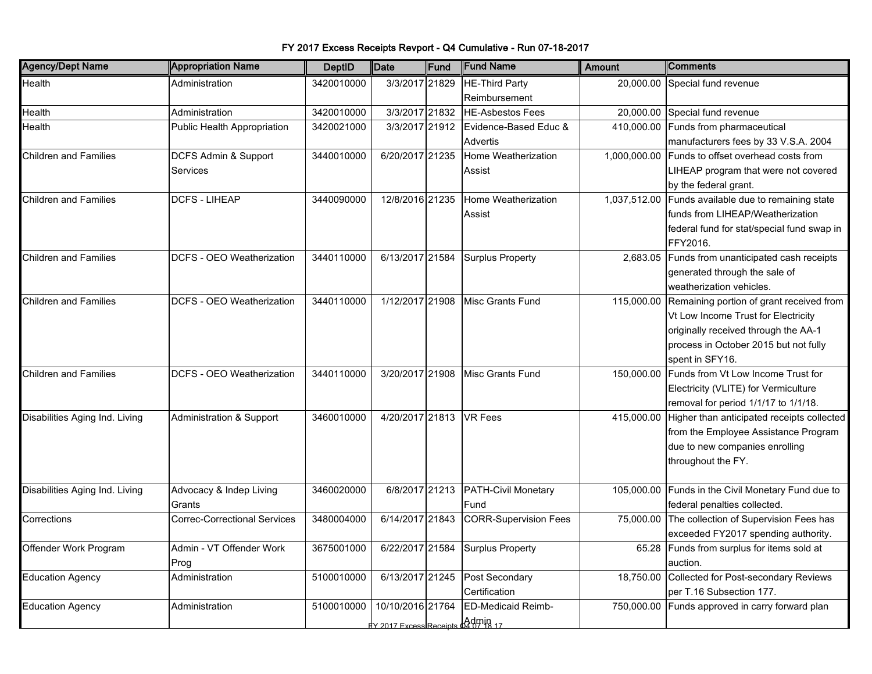| <b>Agency/Dept Name</b>        | <b>Appropriation Name</b>           | <b>DeptID</b> | <b>Date</b>                                        | Fund | <b>Fund Name</b>                              | <b>Amount</b> | <b>Comments</b>                                                                                                                                                                     |
|--------------------------------|-------------------------------------|---------------|----------------------------------------------------|------|-----------------------------------------------|---------------|-------------------------------------------------------------------------------------------------------------------------------------------------------------------------------------|
| Health                         | Administration                      | 3420010000    | 3/3/2017 21829                                     |      | <b>HE-Third Party</b><br>Reimbursement        | 20,000.00     | Special fund revenue                                                                                                                                                                |
| Health                         | Administration                      | 3420010000    | 3/3/2017 21832                                     |      | <b>HE-Asbestos Fees</b>                       | 20,000.00     | Special fund revenue                                                                                                                                                                |
| Health                         | Public Health Appropriation         | 3420021000    | 3/3/2017 21912                                     |      | Evidence-Based Educ &<br>Advertis             | 410,000.00    | Funds from pharmaceutical<br>manufacturers fees by 33 V.S.A. 2004                                                                                                                   |
| <b>Children and Families</b>   | DCFS Admin & Support<br>Services    | 3440010000    | 6/20/2017 21235                                    |      | Home Weatherization<br>Assist                 |               | 1,000,000.00 Funds to offset overhead costs from<br>LIHEAP program that were not covered<br>by the federal grant.                                                                   |
| <b>Children and Families</b>   | <b>DCFS - LIHEAP</b>                | 3440090000    | 12/8/2016 21235                                    |      | Home Weatherization<br>Assist                 | 1,037,512.00  | Funds available due to remaining state<br>funds from LIHEAP/Weatherization<br>federal fund for stat/special fund swap in<br>FFY2016.                                                |
| <b>Children and Families</b>   | DCFS - OEO Weatherization           | 3440110000    | 6/13/2017 21584                                    |      | <b>Surplus Property</b>                       | 2,683.05      | Funds from unanticipated cash receipts<br>generated through the sale of<br>weatherization vehicles.                                                                                 |
| <b>Children and Families</b>   | DCFS - OEO Weatherization           | 3440110000    | 1/12/2017 21908                                    |      | <b>Misc Grants Fund</b>                       | 115,000.00    | Remaining portion of grant received from<br>Vt Low Income Trust for Electricity<br>originally received through the AA-1<br>process in October 2015 but not fully<br>spent in SFY16. |
| <b>Children and Families</b>   | DCFS - OEO Weatherization           | 3440110000    | 3/20/2017 21908                                    |      | <b>Misc Grants Fund</b>                       | 150,000.00    | Funds from Vt Low Income Trust for<br>Electricity (VLITE) for Vermiculture<br>removal for period 1/1/17 to 1/1/18.                                                                  |
| Disabilities Aging Ind. Living | Administration & Support            | 3460010000    | 4/20/2017 21813 VR Fees                            |      |                                               | 415,000.00    | Higher than anticipated receipts collected<br>from the Employee Assistance Program<br>due to new companies enrolling<br>throughout the FY.                                          |
| Disabilities Aging Ind. Living | Advocacy & Indep Living<br>Grants   | 3460020000    |                                                    |      | 6/8/2017 21213 PATH-Civil Monetary<br>Fund    | 105,000.00    | Funds in the Civil Monetary Fund due to<br>federal penalties collected.                                                                                                             |
| Corrections                    | <b>Correc-Correctional Services</b> | 3480004000    | 6/14/2017 21843                                    |      | <b>CORR-Supervision Fees</b>                  |               | 75,000.00 The collection of Supervision Fees has<br>exceeded FY2017 spending authority.                                                                                             |
| Offender Work Program          | Admin - VT Offender Work<br>Prog    | 3675001000    | 6/22/2017 21584                                    |      | <b>Surplus Property</b>                       | 65.28         | Funds from surplus for items sold at<br>auction.                                                                                                                                    |
| <b>Education Agency</b>        | Administration                      | 5100010000    | 6/13/2017 21245                                    |      | Post Secondary<br>Certification               | 18,750.00     | Collected for Post-secondary Reviews<br>per T.16 Subsection 177.                                                                                                                    |
| <b>Education Agency</b>        | Administration                      | 5100010000    | 10/10/2016 21764<br><b>EV 2017 Excess Receipts</b> |      | <b>ED-Medicaid Reimb-</b><br>$\Delta$ dmin 17 | 750,000.00    | Funds approved in carry forward plan                                                                                                                                                |

FY 2017 Excess Receipts Revport - Q4 Cumulative - Run 07-18-2017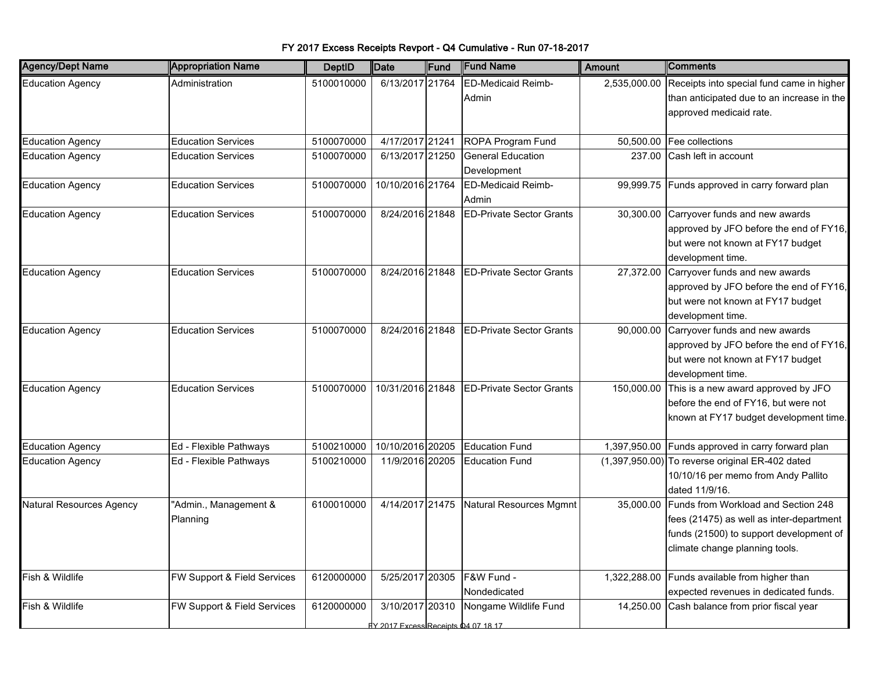| <b>Agency/Dept Name</b>  | <b>Appropriation Name</b>   | <b>DeptID</b> | <b>Date</b>                                    | Fund | <b>Fund Name</b>                | <b>Amount</b> | Comments                                               |
|--------------------------|-----------------------------|---------------|------------------------------------------------|------|---------------------------------|---------------|--------------------------------------------------------|
| <b>Education Agency</b>  | Administration              | 5100010000    | 6/13/2017 21764                                |      | <b>ED-Medicaid Reimb-</b>       |               | 2,535,000.00 Receipts into special fund came in higher |
|                          |                             |               |                                                |      | Admin                           |               | than anticipated due to an increase in the             |
|                          |                             |               |                                                |      |                                 |               | approved medicaid rate.                                |
|                          |                             |               |                                                |      |                                 |               |                                                        |
| <b>Education Agency</b>  | <b>Education Services</b>   | 5100070000    | 4/17/2017 21241                                |      | ROPA Program Fund               |               | 50,500.00   Fee collections                            |
| <b>Education Agency</b>  | <b>Education Services</b>   | 5100070000    | 6/13/2017 21250                                |      | <b>General Education</b>        | 237.00        | Cash left in account                                   |
|                          |                             |               |                                                |      | Development                     |               |                                                        |
| <b>Education Agency</b>  | <b>Education Services</b>   | 5100070000    | 10/10/2016 21764                               |      | <b>ED-Medicaid Reimb-</b>       | 99,999.75     | Funds approved in carry forward plan                   |
|                          |                             |               |                                                |      | Admin                           |               |                                                        |
| <b>Education Agency</b>  | <b>Education Services</b>   | 5100070000    | 8/24/2016 21848                                |      | <b>ED-Private Sector Grants</b> | 30,300.00     | Carryover funds and new awards                         |
|                          |                             |               |                                                |      |                                 |               | approved by JFO before the end of FY16,                |
|                          |                             |               |                                                |      |                                 |               | but were not known at FY17 budget                      |
|                          |                             |               |                                                |      |                                 |               | development time.                                      |
| <b>Education Agency</b>  | <b>Education Services</b>   | 5100070000    | 8/24/2016 21848                                |      | <b>ED-Private Sector Grants</b> | 27,372.00     | Carryover funds and new awards                         |
|                          |                             |               |                                                |      |                                 |               | approved by JFO before the end of FY16,                |
|                          |                             |               |                                                |      |                                 |               | but were not known at FY17 budget                      |
|                          |                             |               |                                                |      |                                 |               | development time.                                      |
| <b>Education Agency</b>  | <b>Education Services</b>   | 5100070000    | 8/24/2016 21848                                |      | <b>ED-Private Sector Grants</b> | 90,000.00     | Carryover funds and new awards                         |
|                          |                             |               |                                                |      |                                 |               | approved by JFO before the end of FY16,                |
|                          |                             |               |                                                |      |                                 |               | but were not known at FY17 budget                      |
|                          |                             |               |                                                |      |                                 |               | development time.                                      |
| <b>Education Agency</b>  | <b>Education Services</b>   | 5100070000    | 10/31/2016 21848                               |      | <b>ED-Private Sector Grants</b> |               | 150,000.00 This is a new award approved by JFO         |
|                          |                             |               |                                                |      |                                 |               | before the end of FY16, but were not                   |
|                          |                             |               |                                                |      |                                 |               | known at FY17 budget development time.                 |
|                          |                             |               |                                                |      |                                 |               |                                                        |
| <b>Education Agency</b>  | Ed - Flexible Pathways      | 5100210000    | 10/10/2016 20205                               |      | <b>Education Fund</b>           |               | 1,397,950.00 Funds approved in carry forward plan      |
| <b>Education Agency</b>  | Ed - Flexible Pathways      | 5100210000    | 11/9/2016 20205                                |      | <b>Education Fund</b>           |               | $(1,397,950.00)$ To reverse original ER-402 dated      |
|                          |                             |               |                                                |      |                                 |               | 10/10/16 per memo from Andy Pallito                    |
|                          |                             |               |                                                |      |                                 |               | dated 11/9/16.                                         |
| Natural Resources Agency | 'Admin., Management &       | 6100010000    | 4/14/2017 21475                                |      | Natural Resources Mgmnt         |               | 35,000.00 Funds from Workload and Section 248          |
|                          | Planning                    |               |                                                |      |                                 |               | fees (21475) as well as inter-department               |
|                          |                             |               |                                                |      |                                 |               | funds (21500) to support development of                |
|                          |                             |               |                                                |      |                                 |               | climate change planning tools.                         |
|                          |                             |               |                                                |      |                                 |               |                                                        |
| Fish & Wildlife          | FW Support & Field Services | 6120000000    | 5/25/2017 20305                                |      | F&W Fund -                      |               | 1,322,288.00 Funds available from higher than          |
|                          |                             |               |                                                |      | Nondedicated                    |               | expected revenues in dedicated funds.                  |
| Fish & Wildlife          | FW Support & Field Services | 6120000000    | 3/10/2017 20310                                |      | Nongame Wildlife Fund           | 14,250.00     | Cash balance from prior fiscal year                    |
|                          |                             |               | $\frac{1}{2}$ 2017 Excess Receipts 04.07.18.17 |      |                                 |               |                                                        |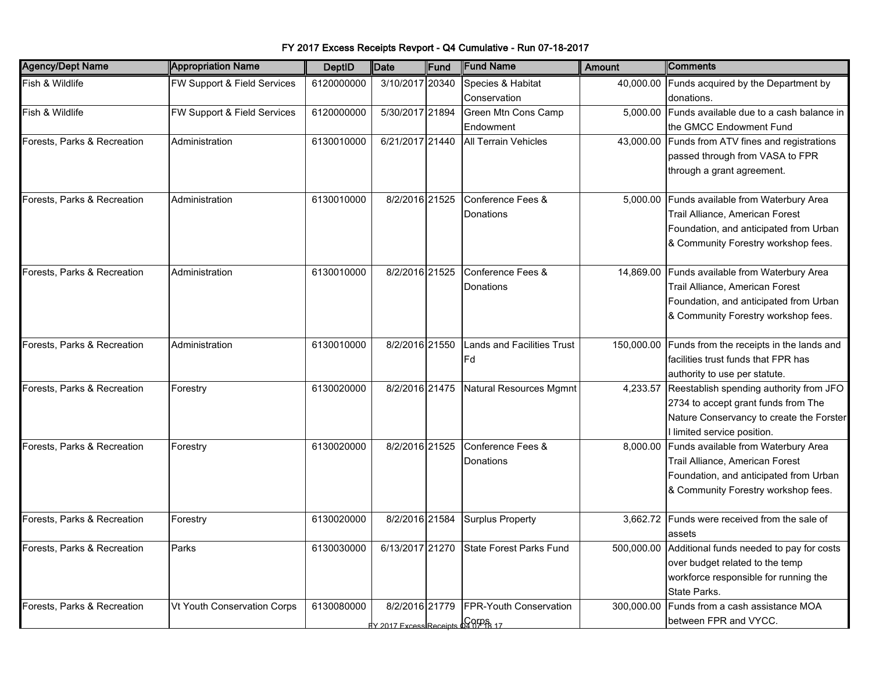|  | FY 2017 Excess Receipts Revport - Q4 Cumulative - Run 07-18-2017 |  |
|--|------------------------------------------------------------------|--|
|--|------------------------------------------------------------------|--|

| <b>Agency/Dept Name</b>     | <b>Appropriation Name</b>   | <b>DeptID</b> | <b>Date</b>                       | Fund | <b>Fund Name</b>               | <b>Amount</b> | <b>Comments</b>                                     |
|-----------------------------|-----------------------------|---------------|-----------------------------------|------|--------------------------------|---------------|-----------------------------------------------------|
| Fish & Wildlife             | FW Support & Field Services | 6120000000    | 3/10/2017 20340                   |      | Species & Habitat              |               | 40,000.00 Funds acquired by the Department by       |
|                             |                             |               |                                   |      | Conservation                   |               | donations.                                          |
| Fish & Wildlife             | FW Support & Field Services | 6120000000    | 5/30/2017 21894                   |      | Green Mtn Cons Camp            |               | 5,000.00 Funds available due to a cash balance in   |
|                             |                             |               |                                   |      | Endowment                      |               | the GMCC Endowment Fund                             |
| Forests, Parks & Recreation | Administration              | 6130010000    | 6/21/2017 21440                   |      | <b>All Terrain Vehicles</b>    |               | 43,000.00 Funds from ATV fines and registrations    |
|                             |                             |               |                                   |      |                                |               | passed through from VASA to FPR                     |
|                             |                             |               |                                   |      |                                |               | through a grant agreement.                          |
|                             |                             |               |                                   |      |                                |               |                                                     |
| Forests, Parks & Recreation | Administration              | 6130010000    | 8/2/2016 21525                    |      | Conference Fees &              | 5,000.00      | Funds available from Waterbury Area                 |
|                             |                             |               |                                   |      | Donations                      |               | Trail Alliance, American Forest                     |
|                             |                             |               |                                   |      |                                |               | Foundation, and anticipated from Urban              |
|                             |                             |               |                                   |      |                                |               | & Community Forestry workshop fees.                 |
|                             |                             |               |                                   |      |                                |               |                                                     |
| Forests, Parks & Recreation | Administration              | 6130010000    | 8/2/2016 21525                    |      | Conference Fees &              |               | 14,869.00 Funds available from Waterbury Area       |
|                             |                             |               |                                   |      | Donations                      |               | Trail Alliance, American Forest                     |
|                             |                             |               |                                   |      |                                |               | Foundation, and anticipated from Urban              |
|                             |                             |               |                                   |      |                                |               | & Community Forestry workshop fees.                 |
|                             |                             |               |                                   |      |                                |               |                                                     |
| Forests, Parks & Recreation | Administration              | 6130010000    | 8/2/2016 21550                    |      | ands and Facilities Trust      | 150,000.00    | Funds from the receipts in the lands and            |
|                             |                             |               |                                   |      | lFd                            |               | facilities trust funds that FPR has                 |
|                             |                             |               |                                   |      |                                |               | authority to use per statute.                       |
| Forests, Parks & Recreation | Forestry                    | 6130020000    | 8/2/2016 21475                    |      | Natural Resources Mgmnt        | 4,233.57      | Reestablish spending authority from JFO             |
|                             |                             |               |                                   |      |                                |               | 2734 to accept grant funds from The                 |
|                             |                             |               |                                   |      |                                |               | Nature Conservancy to create the Forster            |
|                             |                             |               |                                   |      |                                |               | I limited service position.                         |
| Forests, Parks & Recreation | Forestry                    | 6130020000    | 8/2/2016 21525                    |      | Conference Fees &              |               | 8,000.00 Funds available from Waterbury Area        |
|                             |                             |               |                                   |      | Donations                      |               | Trail Alliance, American Forest                     |
|                             |                             |               |                                   |      |                                |               | Foundation, and anticipated from Urban              |
|                             |                             |               |                                   |      |                                |               | & Community Forestry workshop fees.                 |
| Forests, Parks & Recreation | Forestry                    | 6130020000    | 8/2/2016 21584                    |      | <b>Surplus Property</b>        |               | 3,662.72 Funds were received from the sale of       |
|                             |                             |               |                                   |      |                                |               | assets                                              |
| Forests, Parks & Recreation | Parks                       | 6130030000    | 6/13/2017 21270                   |      | <b>State Forest Parks Fund</b> |               | 500,000.00 Additional funds needed to pay for costs |
|                             |                             |               |                                   |      |                                |               | over budget related to the temp                     |
|                             |                             |               |                                   |      |                                |               | workforce responsible for running the               |
|                             |                             |               |                                   |      |                                |               | State Parks.                                        |
| Forests, Parks & Recreation | Vt Youth Conservation Corps | 6130080000    | 8/2/2016 21779                    |      | FPR-Youth Conservation         |               | 300,000.00 Funds from a cash assistance MOA         |
|                             |                             |               | dy 2017 Excess Receipts 028FOR 17 |      |                                |               | between FPR and VYCC.                               |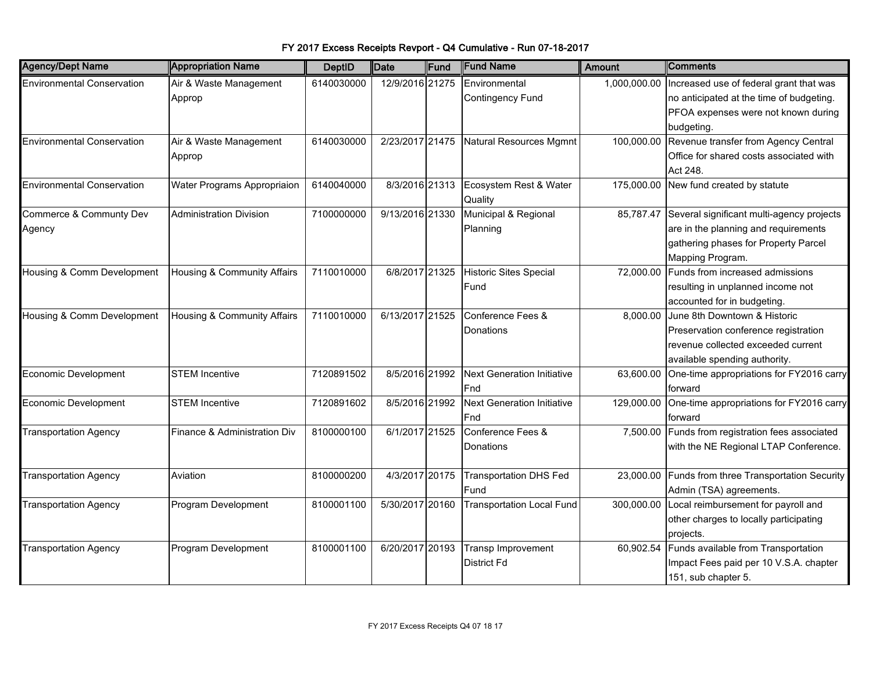| <b>Agency/Dept Name</b>           | <b>Appropriation Name</b>      | <b>DeptID</b> | Date            | Fund | <b>Fund Name</b>                  | Amount       | Comments                                      |
|-----------------------------------|--------------------------------|---------------|-----------------|------|-----------------------------------|--------------|-----------------------------------------------|
| <b>Environmental Conservation</b> | Air & Waste Management         | 6140030000    | 12/9/2016 21275 |      | Environmental                     | 1,000,000.00 | Increased use of federal grant that was       |
|                                   | Approp                         |               |                 |      | <b>Contingency Fund</b>           |              | no anticipated at the time of budgeting.      |
|                                   |                                |               |                 |      |                                   |              | PFOA expenses were not known during           |
|                                   |                                |               |                 |      |                                   |              | budgeting.                                    |
| <b>Environmental Conservation</b> | Air & Waste Management         | 6140030000    | 2/23/2017 21475 |      | Natural Resources Mgmnt           | 100,000.00   | Revenue transfer from Agency Central          |
|                                   | Approp                         |               |                 |      |                                   |              | Office for shared costs associated with       |
|                                   |                                |               |                 |      |                                   |              | Act 248.                                      |
| <b>Environmental Conservation</b> | Water Programs Appropriaion    | 6140040000    | 8/3/2016 21313  |      | Ecosystem Rest & Water            | 175,000.00   | New fund created by statute                   |
|                                   |                                |               |                 |      | Quality                           |              |                                               |
| Commerce & Communty Dev           | <b>Administration Division</b> | 7100000000    | 9/13/2016 21330 |      | Municipal & Regional              | 85,787.47    | Several significant multi-agency projects     |
| Agency                            |                                |               |                 |      | Planning                          |              | are in the planning and requirements          |
|                                   |                                |               |                 |      |                                   |              | gathering phases for Property Parcel          |
|                                   |                                |               |                 |      |                                   |              | Mapping Program.                              |
| Housing & Comm Development        | Housing & Community Affairs    | 7110010000    | 6/8/2017 21325  |      | Historic Sites Special            | 72,000.00    | Funds from increased admissions               |
|                                   |                                |               |                 |      | Fund                              |              | resulting in unplanned income not             |
|                                   |                                |               |                 |      |                                   |              | accounted for in budgeting.                   |
| Housing & Comm Development        | Housing & Community Affairs    | 7110010000    | 6/13/2017 21525 |      | Conference Fees &                 |              | 8,000.00 June 8th Downtown & Historic         |
|                                   |                                |               |                 |      | Donations                         |              | Preservation conference registration          |
|                                   |                                |               |                 |      |                                   |              | revenue collected exceeded current            |
|                                   |                                |               |                 |      |                                   |              | available spending authority.                 |
| <b>Economic Development</b>       | <b>STEM Incentive</b>          | 7120891502    | 8/5/2016 21992  |      | <b>Next Generation Initiative</b> | 63,600.00    | One-time appropriations for FY2016 carry      |
|                                   |                                |               |                 |      | Fnd                               |              | forward                                       |
| Economic Development              | <b>STEM Incentive</b>          | 7120891602    | 8/5/2016 21992  |      | <b>Next Generation Initiative</b> | 129,000.00   | One-time appropriations for FY2016 carry      |
|                                   |                                |               |                 |      | Fnd                               |              | lforward                                      |
| <b>Transportation Agency</b>      | Finance & Administration Div   | 8100000100    | 6/1/2017 21525  |      | Conference Fees &                 | 7,500.00     | Funds from registration fees associated       |
|                                   |                                |               |                 |      | Donations                         |              | with the NE Regional LTAP Conference.         |
|                                   |                                |               |                 |      |                                   |              |                                               |
| <b>Transportation Agency</b>      | Aviation                       | 8100000200    | 4/3/2017 20175  |      | <b>Transportation DHS Fed</b>     | 23,000.00    | Funds from three Transportation Security      |
|                                   |                                |               |                 |      | Fund                              |              | Admin (TSA) agreements.                       |
| <b>Transportation Agency</b>      | Program Development            | 8100001100    | 5/30/2017 20160 |      | <b>Transportation Local Fund</b>  | 300,000.00   | Local reimbursement for payroll and           |
|                                   |                                |               |                 |      |                                   |              | other charges to locally participating        |
|                                   |                                |               |                 |      |                                   |              | projects.                                     |
| <b>Transportation Agency</b>      | Program Development            | 8100001100    | 6/20/2017 20193 |      | <b>Transp Improvement</b>         |              | 60,902.54 Funds available from Transportation |
|                                   |                                |               |                 |      |                                   |              |                                               |
|                                   |                                |               |                 |      | <b>District Fd</b>                |              | Impact Fees paid per 10 V.S.A. chapter        |
|                                   |                                |               |                 |      |                                   |              | 151, sub chapter 5.                           |